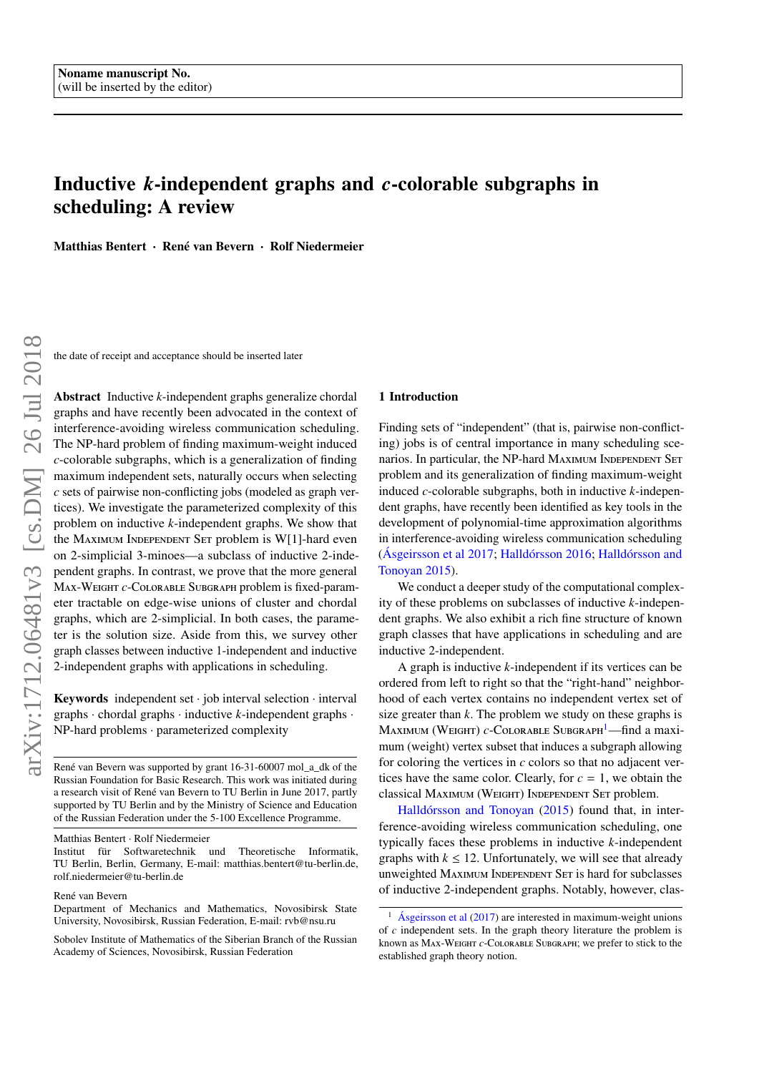# <span id="page-0-1"></span>Inductive *k*-independent graphs and *c*-colorable subgraphs in scheduling: A review

Matthias Bentert · René van Bevern · Rolf Niedermeier

the date of receipt and acceptance should be inserted later

Abstract Inductive *k*-independent graphs generalize chordal graphs and have recently been advocated in the context of interference-avoiding wireless communication scheduling. The NP-hard problem of finding maximum-weight induced *c*-colorable subgraphs, which is a generalization of finding maximum independent sets, naturally occurs when selecting *c* sets of pairwise non-conflicting jobs (modeled as graph vertices). We investigate the parameterized complexity of this problem on inductive *k*-independent graphs. We show that the MAXIMUM INDEPENDENT SET problem is W[1]-hard even on 2-simplicial 3-minoes—a subclass of inductive 2-independent graphs. In contrast, we prove that the more general Max-Weight *c*-Colorable Subgraph problem is fixed-parameter tractable on edge-wise unions of cluster and chordal graphs, which are 2-simplicial. In both cases, the parameter is the solution size. Aside from this, we survey other graph classes between inductive 1-independent and inductive 2-independent graphs with applications in scheduling.

Keywords independent set  $\cdot$  job interval selection  $\cdot$  interval graphs · chordal graphs · inductive *k*-independent graphs · NP-hard problems · parameterized complexity

René van Bevern was supported by grant 16-31-60007 mol\_a\_dk of the Russian Foundation for Basic Research. This work was initiated during a research visit of René van Bevern to TU Berlin in June 2017, partly supported by TU Berlin and by the Ministry of Science and Education of the Russian Federation under the 5-100 Excellence Programme.

## 1 Introduction

Finding sets of "independent" (that is, pairwise non-conflicting) jobs is of central importance in many scheduling scenarios. In particular, the NP-hard MAXIMUM INDEPENDENT SET problem and its generalization of finding maximum-weight induced *c*-colorable subgraphs, both in inductive *k*-independent graphs, have recently been identified as key tools in the development of polynomial-time approximation algorithms in interference-avoiding wireless communication scheduling [\(Ásgeirsson et al](#page-15-0) [2017;](#page-15-0) [Halldórsson](#page-15-1) [2016;](#page-15-1) [Halldórsson and](#page-15-2) [Tonoyan](#page-15-2) [2015\)](#page-15-2).

We conduct a deeper study of the computational complexity of these problems on subclasses of inductive *k*-independent graphs. We also exhibit a rich fine structure of known graph classes that have applications in scheduling and are inductive 2-independent.

A graph is inductive *k*-independent if its vertices can be ordered from left to right so that the "right-hand" neighborhood of each vertex contains no independent vertex set of size greater than *k*. The problem we study on these graphs is MAXIMUM (WEIGHT) *c*-COLORABLE SUBGRAPH<sup>[1](#page-0-0)</sup>—find a maximum (weight) vertex subset that induces a subgraph allowing for coloring the vertices in *c* colors so that no adjacent vertices have the same color. Clearly, for  $c = 1$ , we obtain the classical Maximum (Weight) Independent Set problem.

[Halldórsson and Tonoyan](#page-15-2) [\(2015\)](#page-15-2) found that, in interference-avoiding wireless communication scheduling, one typically faces these problems in inductive *k*-independent graphs with  $k \leq 12$ . Unfortunately, we will see that already unweighted MAXIMUM INDEPENDENT SET is hard for subclasses of inductive 2-independent graphs. Notably, however, clas-

Matthias Bentert · Rolf Niedermeier

Institut für Softwaretechnik und Theoretische Informatik, TU Berlin, Berlin, Germany, E-mail: matthias.bentert@tu-berlin.de, rolf.niedermeier@tu-berlin.de

René van Bevern

Department of Mechanics and Mathematics, Novosibirsk State University, Novosibirsk, Russian Federation, E-mail: rvb@nsu.ru

Sobolev Institute of Mathematics of the Siberian Branch of the Russian Academy of Sciences, Novosibirsk, Russian Federation

<span id="page-0-0"></span>[Ásgeirsson et al](#page-15-0)  $(2017)$  are interested in maximum-weight unions of *c* independent sets. In the graph theory literature the problem is known as Max-Weight *c*-Colorable Subgraph; we prefer to stick to the established graph theory notion.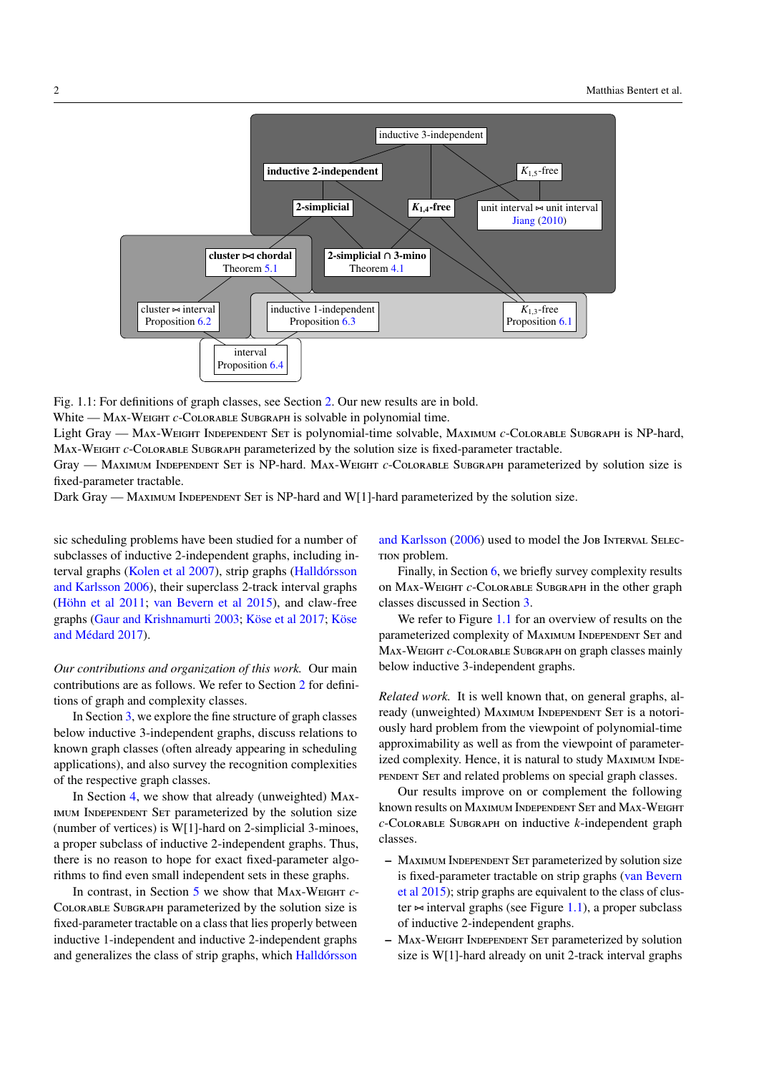<span id="page-1-1"></span><span id="page-1-0"></span>



White — MAX-WEIGHT *c*-COLORABLE SUBGRAPH is solvable in polynomial time.

Light Gray — Max-Weight Independent Set is polynomial-time solvable, Maximum *c*-Colorable Subgraph is NP-hard, Max-Weight *c*-Colorable Subgraph parameterized by the solution size is fixed-parameter tractable.

Gray — Maximum Independent Set is NP-hard. Max-Weight *c*-Colorable Subgraph parameterized by solution size is fixed-parameter tractable.

Dark Gray — MAXIMUM INDEPENDENT SET is NP-hard and W[1]-hard parameterized by the solution size.

sic scheduling problems have been studied for a number of subclasses of inductive 2-independent graphs, including interval graphs [\(Kolen et al](#page-16-0) [2007\)](#page-16-0), strip graphs [\(Halldórsson](#page-15-4) [and Karlsson](#page-15-4) [2006\)](#page-15-4), their superclass 2-track interval graphs [\(Höhn et al](#page-15-5) [2011;](#page-15-5) [van Bevern et al](#page-15-6) [2015\)](#page-15-6), and claw-free graphs [\(Gaur and Krishnamurti](#page-15-7) [2003;](#page-15-7) [Köse et al](#page-16-1) [2017;](#page-16-1) [Köse](#page-16-2) [and Médard](#page-16-2) [2017\)](#page-16-2).

*Our contributions and organization of this work.* Our main contributions are as follows. We refer to Section [2](#page-2-0) for definitions of graph and complexity classes.

In Section [3,](#page-3-0) we explore the fine structure of graph classes below inductive 3-independent graphs, discuss relations to known graph classes (often already appearing in scheduling applications), and also survey the recognition complexities of the respective graph classes.

In Section [4,](#page-7-1) we show that already (unweighted) Maximum Independent Set parameterized by the solution size (number of vertices) is W[1]-hard on 2-simplicial 3-minoes, a proper subclass of inductive 2-independent graphs. Thus, there is no reason to hope for exact fixed-parameter algorithms to find even small independent sets in these graphs.

In contrast, in Section [5](#page-9-1) we show that Max-Weight *c*-Colorable Subgraph parameterized by the solution size is fixed-parameter tractable on a class that lies properly between inductive 1-independent and inductive 2-independent graphs and generalizes the class of strip graphs, which [Halldórsson](#page-15-4)

[and Karlsson](#page-15-4) [\(2006\)](#page-15-4) used to model the Job Interval Selection problem.

Finally, in Section [6,](#page-13-2) we briefly survey complexity results on Max-Weight *c*-Colorable Subgraph in the other graph classes discussed in Section [3.](#page-3-0)

We refer to Figure [1.1](#page-1-0) for an overview of results on the parameterized complexity of MAXIMUM INDEPENDENT SET and Max-Weight *c*-Colorable Subgraph on graph classes mainly below inductive 3-independent graphs.

*Related work.* It is well known that, on general graphs, already (unweighted) MAXIMUM INDEPENDENT SET is a notoriously hard problem from the viewpoint of polynomial-time approximability as well as from the viewpoint of parameterized complexity. Hence, it is natural to study MAXIMUM INDEpendent Set and related problems on special graph classes.

Our results improve on or complement the following known results on MAXIMUM INDEPENDENT SET and MAX-WEIGHT *c*-Colorable Subgraph on inductive *k*-independent graph classes.

- Maximum Independent Set parameterized by solution size is fixed-parameter tractable on strip graphs [\(van Bevern](#page-15-6) [et al](#page-15-6) [2015\)](#page-15-6); strip graphs are equivalent to the class of cluster  $\approx$  interval graphs (see Figure [1.1\)](#page-1-0), a proper subclass of inductive 2-independent graphs.
- Max-Weight Independent Set parameterized by solution size is W[1]-hard already on unit 2-track interval graphs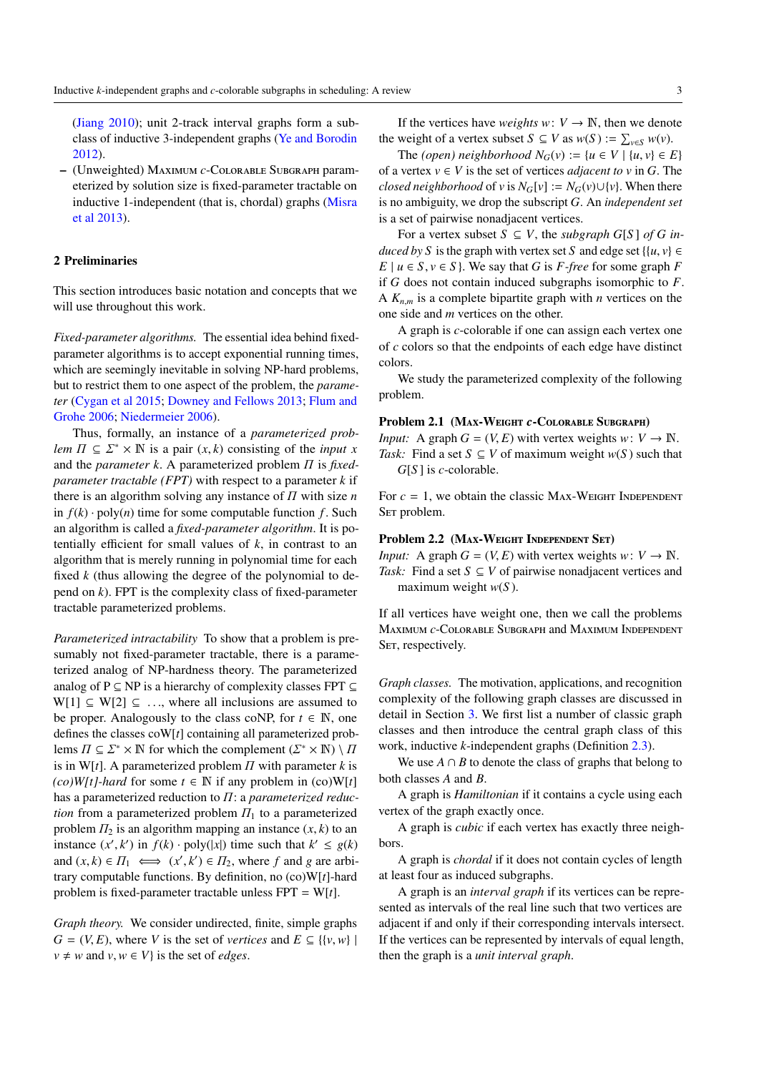<span id="page-2-2"></span>[\(Jiang](#page-15-3) [2010\)](#page-15-3); unit 2-track interval graphs form a subclass of inductive 3-independent graphs [\(Ye and Borodin](#page-16-3) [2012\)](#page-16-3).

– (Unweighted) Maximum *c*-Colorable Subgraph parameterized by solution size is fixed-parameter tractable on inductive 1-independent (that is, chordal) graphs [\(Misra](#page-16-4) [et al](#page-16-4) [2013\)](#page-16-4).

# <span id="page-2-0"></span>2 Preliminaries

This section introduces basic notation and concepts that we will use throughout this work.

*Fixed-parameter algorithms.* The essential idea behind fixedparameter algorithms is to accept exponential running times, which are seemingly inevitable in solving NP-hard problems, but to restrict them to one aspect of the problem, the *parameter* [\(Cygan et al](#page-15-8) [2015;](#page-15-8) [Downey and Fellows](#page-15-9) [2013;](#page-15-9) [Flum and](#page-15-10) [Grohe](#page-15-10) [2006;](#page-15-10) [Niedermeier](#page-16-5) [2006\)](#page-16-5).

Thus, formally, an instance of a *parameterized problem*  $\Pi \subseteq \Sigma^* \times \mathbb{N}$  is a pair  $(x, k)$  consisting of the *input x* and the *parameter k*. A parameterized problem Π is *fixedparameter tractable (FPT)* with respect to a parameter *k* if there is an algorithm solving any instance of Π with size *n* in  $f(k) \cdot \text{poly}(n)$  time for some computable function *f*. Such an algorithm is called a *fixed-parameter algorithm*. It is potentially efficient for small values of *k*, in contrast to an algorithm that is merely running in polynomial time for each fixed *k* (thus allowing the degree of the polynomial to depend on *k*). FPT is the complexity class of fixed-parameter tractable parameterized problems.

*Parameterized intractability* To show that a problem is presumably not fixed-parameter tractable, there is a parameterized analog of NP-hardness theory. The parameterized analog of P  $\subseteq$  NP is a hierarchy of complexity classes FPT  $\subseteq$  $W[1] \subseteq W[2] \subseteq \ldots$ , where all inclusions are assumed to be proper. Analogously to the class coNP, for  $t \in \mathbb{N}$ , one defines the classes coW[*t*] containing all parameterized problems  $\Pi \subseteq \Sigma^* \times \mathbb{N}$  for which the complement  $(\Sigma^* \times \mathbb{N}) \setminus \Pi$ is in W[t]. A parameterized problem  $\Pi$  with parameter  $k$  is  $(co)W[t]$ -hard for some  $t \in \mathbb{N}$  if any problem in  $(co)W[t]$ has a parameterized reduction to Π: a *parameterized reduction* from a parameterized problem  $\Pi_1$  to a parameterized problem  $\Pi_2$  is an algorithm mapping an instance  $(x, k)$  to an instance  $(x', k')$  in  $f(k) \cdot \text{poly}(|x|)$  time such that  $k' \le g(k)$ and  $(x, k) \in \Pi_1 \iff (x', k') \in \Pi_2$ , where *f* and *g* are arbitrary computable functions. By definition, no (co)W[*t*]-hard problem is fixed-parameter tractable unless FPT = W[*t*].

*Graph theory.* We consider undirected, finite, simple graphs  $G = (V, E)$ , where *V* is the set of *vertices* and  $E \subseteq \{ \{v, w\} \}$  $v \neq w$  and  $v, w \in V$  is the set of *edges*.

If the vertices have *weights*  $w: V \to \mathbb{N}$ , then we denote the weight of a vertex subset  $S \subseteq V$  as  $w(S) := \sum_{v \in S} w(v)$ .

The *(open)* neighborhood  $N_G(v) := \{u \in V \mid \{u, v\} \in E\}$ of a vertex  $v \in V$  is the set of vertices *adjacent to*  $v$  in  $G$ . The *closed neighborhood* of *v* is  $N_G[v] := N_G(v) \cup \{v\}$ . When there is no ambiguity, we drop the subscript *G*. An *independent set* is a set of pairwise nonadjacent vertices.

For a vertex subset  $S \subseteq V$ , the *subgraph*  $G[S]$  *of*  $G$  *induced by S* is the graph with vertex set *S* and edge set {{*u*, *v*}  $\in$  $E \mid u \in S, v \in S$ . We say that *G* is *F-free* for some graph *F* if *G* does not contain induced subgraphs isomorphic to *F*. A  $K_{n,m}$  is a complete bipartite graph with *n* vertices on the one side and *m* vertices on the other.

A graph is *c*-colorable if one can assign each vertex one of *c* colors so that the endpoints of each edge have distinct colors.

We study the parameterized complexity of the following problem.

## Problem 2.1 (Max-Weight *c*-Colorable Subgraph)

*Input:* A graph  $G = (V, E)$  with vertex weights  $w: V \to \mathbb{N}$ . *Task:* Find a set *S* ⊆ *V* of maximum weight *w*(*S*) such that *G*[*S* ] is *c*-colorable.

For  $c = 1$ , we obtain the classic MAX-WEIGHT INDEPENDENT SET problem.

## Problem 2.2 (Max-Weight Independent Set)

*Input:* A graph  $G = (V, E)$  with vertex weights  $w: V \to \mathbb{N}$ . *Task:* Find a set  $S \subseteq V$  of pairwise nonadjacent vertices and maximum weight *w*(*S* ).

If all vertices have weight one, then we call the problems Maximum *c*-Colorable Subgraph and Maximum Independent SET, respectively.

*Graph classes.* The motivation, applications, and recognition complexity of the following graph classes are discussed in detail in Section [3.](#page-3-0) We first list a number of classic graph classes and then introduce the central graph class of this work, inductive *k*-independent graphs (Definition [2.3\)](#page-2-1).

We use  $A \cap B$  to denote the class of graphs that belong to both classes *A* and *B*.

A graph is *Hamiltonian* if it contains a cycle using each vertex of the graph exactly once.

A graph is *cubic* if each vertex has exactly three neighbors.

A graph is *chordal* if it does not contain cycles of length at least four as induced subgraphs.

<span id="page-2-1"></span>A graph is an *interval graph* if its vertices can be represented as intervals of the real line such that two vertices are adjacent if and only if their corresponding intervals intersect. If the vertices can be represented by intervals of equal length, then the graph is a *unit interval graph*.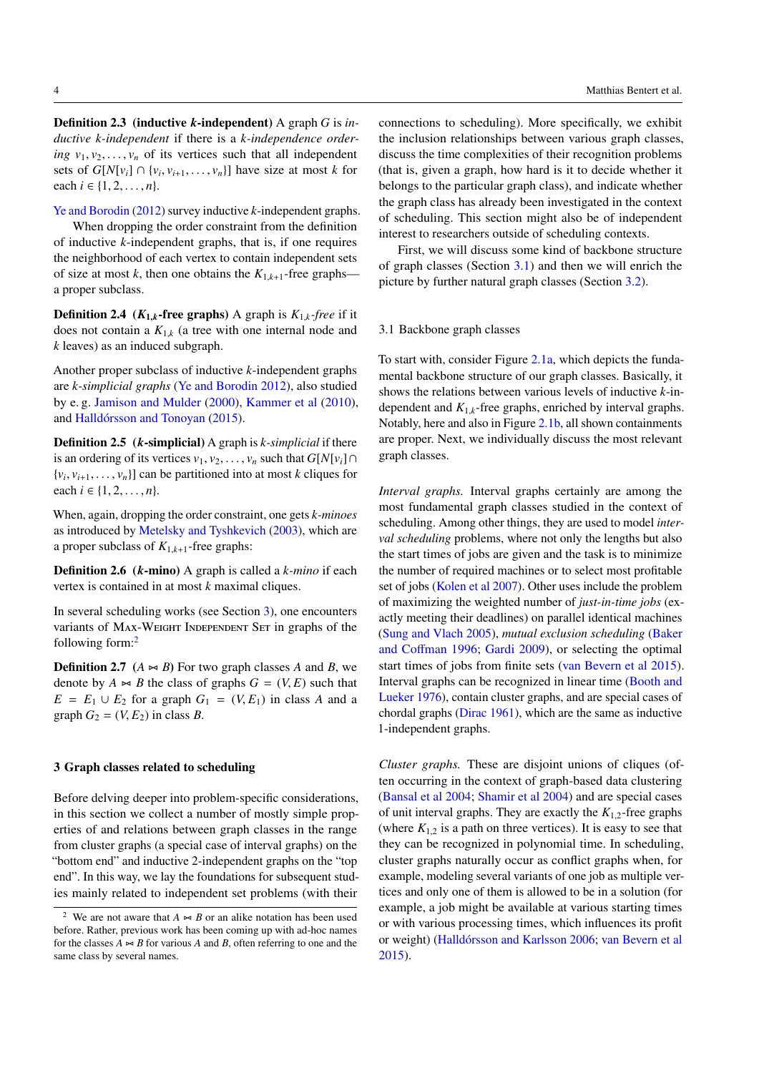<span id="page-3-5"></span>Definition 2.3 (inductive *k*-independent) A graph *G* is *inductive k-independent* if there is a *k-independence ordering*  $v_1, v_2, \ldots, v_n$  of its vertices such that all independent sets of  $G[N[v_i] \cap \{v_i, v_{i+1}, \ldots, v_n\}]$  have size at most *k* for each  $i \in \{1, 2, ..., n\}.$ 

[Ye and Borodin](#page-16-3) [\(2012\)](#page-16-3) survey inductive *k*-independent graphs.

When dropping the order constraint from the definition of inductive *k*-independent graphs, that is, if one requires the neighborhood of each vertex to contain independent sets of size at most *k*, then one obtains the  $K_{1,k+1}$ -free graphs a proper subclass.

**Definition 2.4** ( $K_{1,k}$ -free graphs) A graph is  $K_{1,k}$ -free if it does not contain a  $K_{1,k}$  (a tree with one internal node and *k* leaves) as an induced subgraph.

Another proper subclass of inductive *k*-independent graphs are *k-simplicial graphs* [\(Ye and Borodin](#page-16-3) [2012\)](#page-16-3), also studied by e. g. [Jamison and Mulder](#page-15-11) [\(2000\)](#page-15-11), [Kammer et al](#page-15-12) [\(2010\)](#page-15-12), and [Halldórsson and Tonoyan](#page-15-2) [\(2015\)](#page-15-2).

<span id="page-3-3"></span>Definition 2.5 (*k*-simplicial) A graph is *k-simplicial* if there is an ordering of its vertices  $v_1, v_2, \ldots, v_n$  such that  $G[N[v_i] \cap$  $\{v_i, v_{i+1}, \ldots, v_n\}$  can be partitioned into at most *k* cliques for each *i* ∈ {1, 2, . . . , *n*}.

When, again, dropping the order constraint, one gets *k-minoes* as introduced by [Metelsky and Tyshkevich](#page-16-6) [\(2003\)](#page-16-6), which are a proper subclass of  $K_{1,k+1}$ -free graphs:

Definition 2.6 (*k*-mino) A graph is called a *k-mino* if each vertex is contained in at most *k* maximal cliques.

In several scheduling works (see Section [3\)](#page-3-0), one encounters variants of MAX-WEIGHT INDEPENDENT SET in graphs of the following form:[2](#page-3-1)

**Definition 2.7** ( $A \Join B$ ) For two graph classes *A* and *B*, we denote by  $A \Join B$  the class of graphs  $G = (V, E)$  such that  $E = E_1 \cup E_2$  for a graph  $G_1 = (V, E_1)$  in class *A* and a graph  $G_2 = (V, E_2)$  in class *B*.

### <span id="page-3-0"></span>3 Graph classes related to scheduling

Before delving deeper into problem-specific considerations, in this section we collect a number of mostly simple properties of and relations between graph classes in the range from cluster graphs (a special case of interval graphs) on the "bottom end" and inductive 2-independent graphs on the "top end". In this way, we lay the foundations for subsequent studies mainly related to independent set problems (with their

connections to scheduling). More specifically, we exhibit the inclusion relationships between various graph classes, discuss the time complexities of their recognition problems (that is, given a graph, how hard is it to decide whether it belongs to the particular graph class), and indicate whether the graph class has already been investigated in the context of scheduling. This section might also be of independent interest to researchers outside of scheduling contexts.

First, we will discuss some kind of backbone structure of graph classes (Section [3.1\)](#page-3-2) and then we will enrich the picture by further natural graph classes (Section [3.2\)](#page-5-0).

# <span id="page-3-2"></span>3.1 Backbone graph classes

To start with, consider Figure [2.1a,](#page-4-0) which depicts the fundamental backbone structure of our graph classes. Basically, it shows the relations between various levels of inductive *k*-independent and  $K_{1,k}$ -free graphs, enriched by interval graphs. Notably, here and also in Figure [2.1b,](#page-4-0) all shown containments are proper. Next, we individually discuss the most relevant graph classes.

<span id="page-3-4"></span>*Interval graphs.* Interval graphs certainly are among the most fundamental graph classes studied in the context of scheduling. Among other things, they are used to model *interval scheduling* problems, where not only the lengths but also the start times of jobs are given and the task is to minimize the number of required machines or to select most profitable set of jobs [\(Kolen et al](#page-16-0) [2007\)](#page-16-0). Other uses include the problem of maximizing the weighted number of *just-in-time jobs* (exactly meeting their deadlines) on parallel identical machines [\(Sung and Vlach](#page-16-7) [2005\)](#page-16-7), *mutual exclusion scheduling* [\(Baker](#page-15-13) [and Co](#page-15-13)ffman [1996;](#page-15-13) [Gardi](#page-15-14) [2009\)](#page-15-14), or selecting the optimal start times of jobs from finite sets [\(van Bevern et al](#page-15-6) [2015\)](#page-15-6). Interval graphs can be recognized in linear time [\(Booth and](#page-15-15) [Lueker](#page-15-15) [1976\)](#page-15-15), contain cluster graphs, and are special cases of chordal graphs [\(Dirac](#page-15-16) [1961\)](#page-15-16), which are the same as inductive 1-independent graphs.

*Cluster graphs.* These are disjoint unions of cliques (often occurring in the context of graph-based data clustering [\(Bansal et al](#page-15-17) [2004;](#page-15-17) [Shamir et al](#page-16-8) [2004\)](#page-16-8) and are special cases of unit interval graphs. They are exactly the  $K_{1,2}$ -free graphs (where  $K_{1,2}$  is a path on three vertices). It is easy to see that they can be recognized in polynomial time. In scheduling, cluster graphs naturally occur as conflict graphs when, for example, modeling several variants of one job as multiple vertices and only one of them is allowed to be in a solution (for example, a job might be available at various starting times or with various processing times, which influences its profit or weight) [\(Halldórsson and Karlsson](#page-15-4) [2006;](#page-15-4) [van Bevern et al](#page-15-6) [2015\)](#page-15-6).

<span id="page-3-1"></span>We are not aware that  $A \Join B$  or an alike notation has been used before. Rather, previous work has been coming up with ad-hoc names for the classes  $A \rightarrow B$  for various  $A$  and  $B$ , often referring to one and the same class by several names.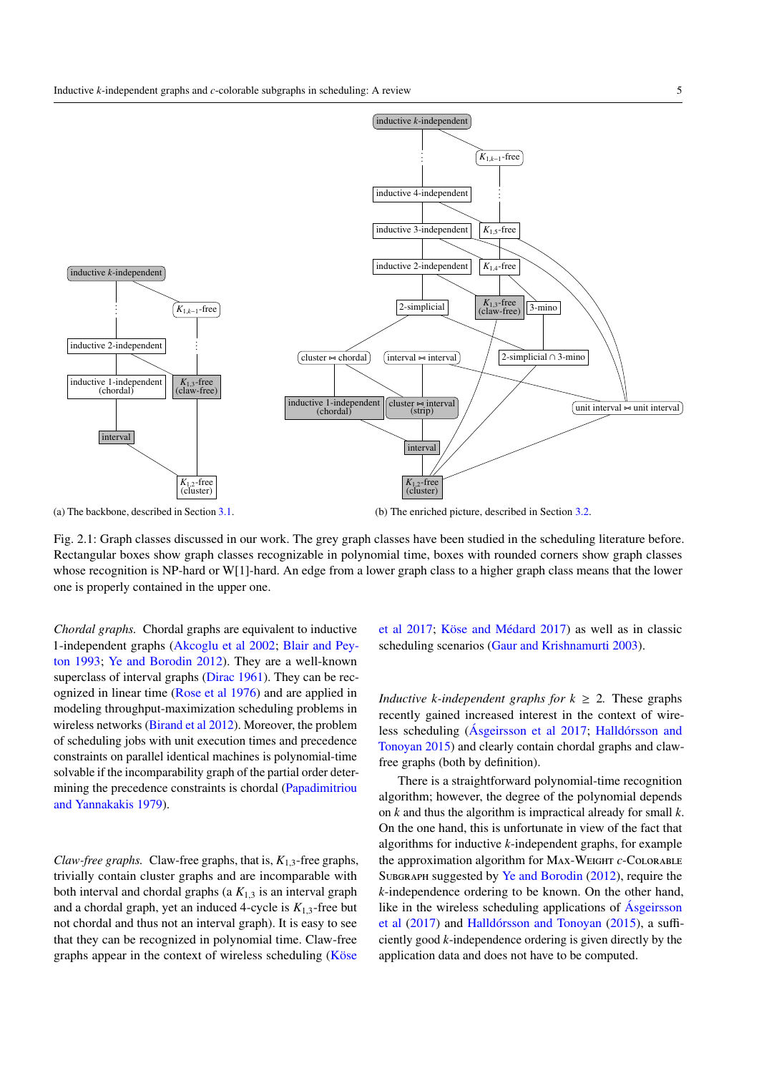<span id="page-4-1"></span><span id="page-4-0"></span>

Fig. 2.1: Graph classes discussed in our work. The grey graph classes have been studied in the scheduling literature before. Rectangular boxes show graph classes recognizable in polynomial time, boxes with rounded corners show graph classes whose recognition is NP-hard or W[1]-hard. An edge from a lower graph class to a higher graph class means that the lower one is properly contained in the upper one.

*Chordal graphs.* Chordal graphs are equivalent to inductive 1-independent graphs [\(Akcoglu et al](#page-15-18) [2002;](#page-15-18) [Blair and Pey](#page-15-19)[ton](#page-15-19) [1993;](#page-15-19) [Ye and Borodin](#page-16-3) [2012\)](#page-16-3). They are a well-known superclass of interval graphs [\(Dirac](#page-15-16) [1961\)](#page-15-16). They can be recognized in linear time [\(Rose et al](#page-16-9) [1976\)](#page-16-9) and are applied in modeling throughput-maximization scheduling problems in wireless networks [\(Birand et al](#page-15-20) [2012\)](#page-15-20). Moreover, the problem of scheduling jobs with unit execution times and precedence constraints on parallel identical machines is polynomial-time solvable if the incomparability graph of the partial order determining the precedence constraints is chordal [\(Papadimitriou](#page-16-10) [and Yannakakis](#page-16-10) [1979\)](#page-16-10).

*Claw-free graphs.* Claw-free graphs, that is,  $K_{1,3}$ -free graphs, trivially contain cluster graphs and are incomparable with both interval and chordal graphs (a  $K_{1,3}$  is an interval graph and a chordal graph, yet an induced 4-cycle is  $K_{1,3}$ -free but not chordal and thus not an interval graph). It is easy to see that they can be recognized in polynomial time. Claw-free graphs appear in the context of wireless scheduling [\(Köse](#page-16-1)

[et al](#page-16-1) [2017;](#page-16-1) [Köse and Médard](#page-16-2) [2017\)](#page-16-2) as well as in classic scheduling scenarios [\(Gaur and Krishnamurti](#page-15-7) [2003\)](#page-15-7).

*Inductive k*-independent graphs for  $k \geq 2$ . These graphs recently gained increased interest in the context of wireless scheduling [\(Ásgeirsson et al](#page-15-0) [2017;](#page-15-0) [Halldórsson and](#page-15-2) [Tonoyan](#page-15-2) [2015\)](#page-15-2) and clearly contain chordal graphs and clawfree graphs (both by definition).

There is a straightforward polynomial-time recognition algorithm; however, the degree of the polynomial depends on *k* and thus the algorithm is impractical already for small *k*. On the one hand, this is unfortunate in view of the fact that algorithms for inductive *k*-independent graphs, for example the approximation algorithm for Max-Weight *c*-Colorable SUBGRAPH suggested by [Ye and Borodin](#page-16-3) [\(2012\)](#page-16-3), require the *k*-independence ordering to be known. On the other hand, like in the wireless scheduling applications of [Ásgeirsson](#page-15-0) [et al](#page-15-0) [\(2017\)](#page-15-0) and [Halldórsson and Tonoyan](#page-15-2) [\(2015\)](#page-15-2), a sufficiently good *k*-independence ordering is given directly by the application data and does not have to be computed.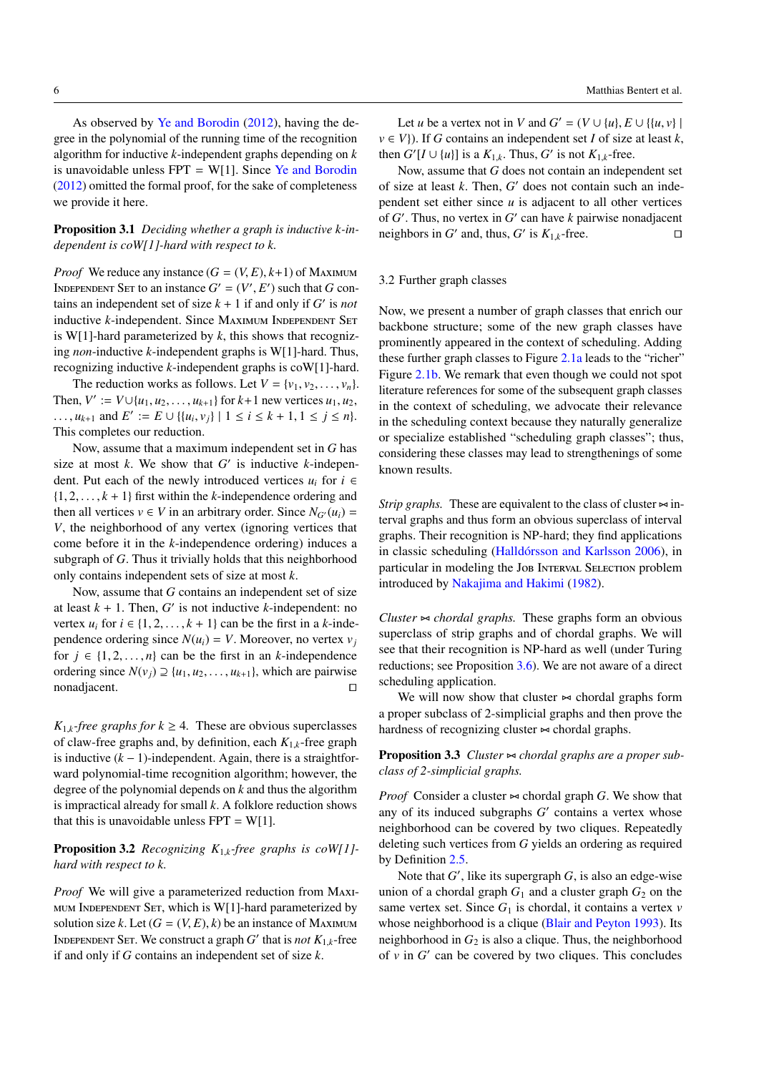<span id="page-5-3"></span>As observed by [Ye and Borodin](#page-16-3) [\(2012\)](#page-16-3), having the degree in the polynomial of the running time of the recognition algorithm for inductive *k*-independent graphs depending on *k* is unavoidable unless  $FPT = W[1]$ . Since [Ye and Borodin](#page-16-3) [\(2012\)](#page-16-3) omitted the formal proof, for the sake of completeness we provide it here.

<span id="page-5-2"></span>Proposition 3.1 *Deciding whether a graph is inductive k-independent is coW[1]-hard with respect to k.*

*Proof* We reduce any instance  $(G = (V, E), k+1)$  of Maximum INDEPENDENT SET to an instance  $G' = (V', E')$  such that *G* contains an independent set of size  $k + 1$  if and only if  $G'$  is *not* inductive *k*-independent. Since MAXIMUM INDEPENDENT SET is W[1]-hard parameterized by *k*, this shows that recognizing *non*-inductive *k*-independent graphs is W[1]-hard. Thus, recognizing inductive *k*-independent graphs is coW[1]-hard.

The reduction works as follows. Let  $V = \{v_1, v_2, \ldots, v_n\}$ . Then,  $V' := V \cup \{u_1, u_2, \dots, u_{k+1}\}$  for  $k+1$  new vertices  $u_1, u_2$ , ...,  $u_{k+1}$  and  $E' := E \cup \{ \{u_i, v_j\} \mid 1 \le i \le k+1, 1 \le j \le n \}.$ This completes our reduction.

Now, assume that a maximum independent set in *G* has size at most  $k$ . We show that  $G'$  is inductive  $k$ -independent. Put each of the newly introduced vertices  $u_i$  for  $i \in$  $\{1, 2, \ldots, k+1\}$  first within the *k*-independence ordering and then all vertices  $v \in V$  in an arbitrary order. Since  $N_{G'}(u_i)$  = *V*, the neighborhood of any vertex (ignoring vertices that come before it in the *k*-independence ordering) induces a subgraph of *G*. Thus it trivially holds that this neighborhood only contains independent sets of size at most *k*.

Now, assume that *G* contains an independent set of size at least  $k + 1$ . Then,  $G'$  is not inductive  $k$ -independent: no vertex  $u_i$  for  $i \in \{1, 2, ..., k + 1\}$  can be the first in a *k*-independence ordering since  $N(u_i) = V$ . Moreover, no vertex  $v_i$ for  $j \in \{1, 2, ..., n\}$  can be the first in an *k*-independence ordering since  $N(v_i) \supseteq \{u_1, u_2, \ldots, u_{k+1}\}$ , which are pairwise  $\Box$ nonadjacent.  $\Box$ 

*K*<sub>1,*k*</sub>-*free graphs for*  $k \geq 4$ *. These are obvious superclasses* of claw-free graphs and, by definition, each *K*1,*k*-free graph is inductive  $(k - 1)$ -independent. Again, there is a straightforward polynomial-time recognition algorithm; however, the degree of the polynomial depends on *k* and thus the algorithm is impractical already for small *k*. A folklore reduction shows that this is unavoidable unless  $FPT = W[1]$ .

# Proposition 3.2 *Recognizing K*1,*k-free graphs is coW[1] hard with respect to k.*

*Proof* We will give a parameterized reduction from Maximum Independent Set, which is W[1]-hard parameterized by solution size *k*. Let  $(G = (V, E), k)$  be an instance of MAXIMUM INDEPENDENT SET. We construct a graph  $G'$  that is *not*  $K_{1,k}$ -free if and only if *G* contains an independent set of size *k*.

Let *u* be a vertex not in *V* and  $G' = (V \cup \{u\}, E \cup \{(u, v)\})$  $v \in V$ ). If *G* contains an independent set *I* of size at least *k*, then  $G'[I \cup \{u\}]$  is a  $K_{1,k}$ . Thus,  $G'$  is not  $K_{1,k}$ -free.

Now, assume that *G* does not contain an independent set of size at least  $k$ . Then,  $G'$  does not contain such an independent set either since *u* is adjacent to all other vertices of  $G'$ . Thus, no vertex in  $G'$  can have  $k$  pairwise nonadjacent neighbors in *G*<sup> $\prime$ </sup> and, thus, *G*<sup> $\prime$ </sup> is  $K_{1,k}$ -free.  $\Box$ 

## <span id="page-5-0"></span>3.2 Further graph classes

Now, we present a number of graph classes that enrich our backbone structure; some of the new graph classes have prominently appeared in the context of scheduling. Adding these further graph classes to Figure [2.1a](#page-4-0) leads to the "richer" Figure [2.1b.](#page-4-0) We remark that even though we could not spot literature references for some of the subsequent graph classes in the context of scheduling, we advocate their relevance in the scheduling context because they naturally generalize or specialize established "scheduling graph classes"; thus, considering these classes may lead to strengthenings of some known results.

*Strip graphs.* These are equivalent to the class of cluster  $\approx$  interval graphs and thus form an obvious superclass of interval graphs. Their recognition is NP-hard; they find applications in classic scheduling [\(Halldórsson and Karlsson](#page-15-4) [2006\)](#page-15-4), in particular in modeling the Job Interval Selection problem introduced by [Nakajima and Hakimi](#page-16-11) [\(1982\)](#page-16-11).

*Cluster*  $\sim$  *chordal graphs*. These graphs form an obvious superclass of strip graphs and of chordal graphs. We will see that their recognition is NP-hard as well (under Turing reductions; see Proposition [3.6\)](#page-6-0). We are not aware of a direct scheduling application.

We will now show that cluster  $\sim$  chordal graphs form a proper subclass of 2-simplicial graphs and then prove the hardness of recognizing cluster  $\sim$  chordal graphs.

<span id="page-5-1"></span>**Proposition 3.3** *Cluster*  $\triangleright$  *chordal graphs are a proper subclass of 2-simplicial graphs.*

*Proof* Consider a cluster  $\sim$  chordal graph *G*. We show that any of its induced subgraphs  $G'$  contains a vertex whose neighborhood can be covered by two cliques. Repeatedly deleting such vertices from *G* yields an ordering as required by Definition [2.5.](#page-3-3)

Note that  $G'$ , like its supergraph  $G$ , is also an edge-wise union of a chordal graph  $G_1$  and a cluster graph  $G_2$  on the same vertex set. Since  $G_1$  is chordal, it contains a vertex  $v$ whose neighborhood is a clique [\(Blair and Peyton](#page-15-19) [1993\)](#page-15-19). Its neighborhood in  $G_2$  is also a clique. Thus, the neighborhood of  $v$  in  $G'$  can be covered by two cliques. This concludes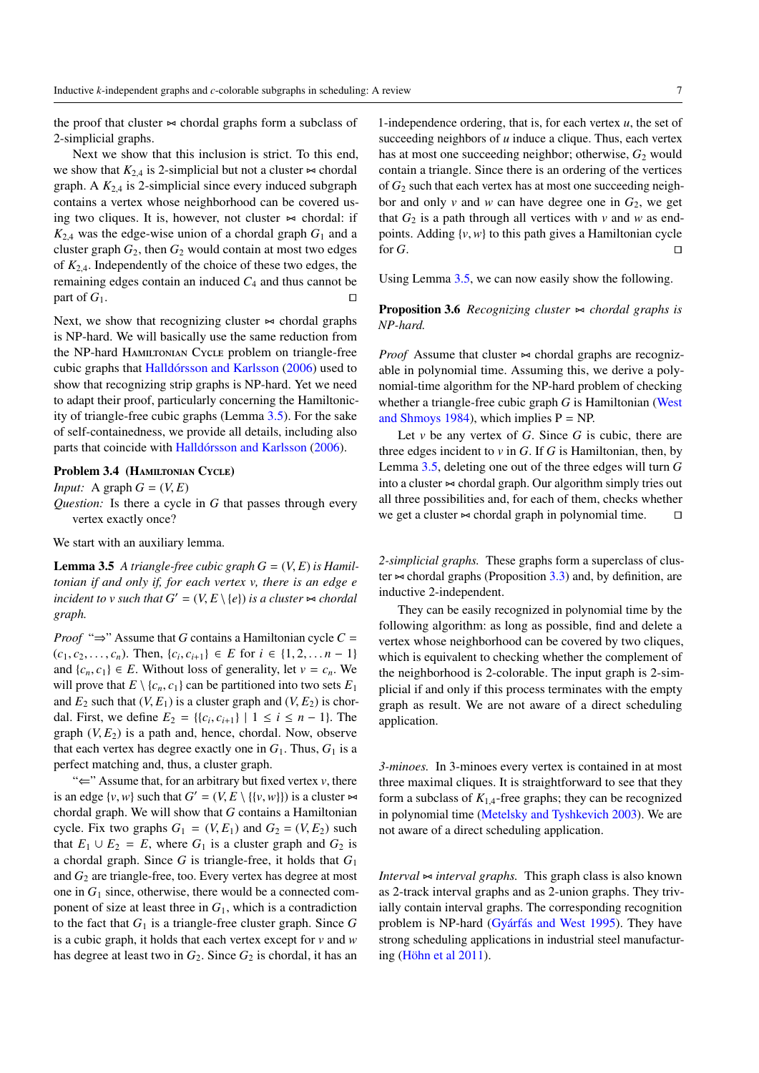<span id="page-6-2"></span>the proof that cluster  $\sim$  chordal graphs form a subclass of 2-simplicial graphs.

Next we show that this inclusion is strict. To this end, we show that  $K_{2,4}$  is 2-simplicial but not a cluster  $\sim$  chordal graph. A  $K_{2,4}$  is 2-simplicial since every induced subgraph contains a vertex whose neighborhood can be covered using two cliques. It is, however, not cluster  $\sim$  chordal: if  $K_{2,4}$  was the edge-wise union of a chordal graph  $G_1$  and a cluster graph  $G_2$ , then  $G_2$  would contain at most two edges of *K*2,4. Independently of the choice of these two edges, the remaining edges contain an induced  $C_4$  and thus cannot be part of  $G_1$ .

Next, we show that recognizing cluster  $\sim$  chordal graphs is NP-hard. We will basically use the same reduction from the NP-hard Hamiltonian Cycle problem on triangle-free cubic graphs that [Halldórsson and Karlsson](#page-15-4) [\(2006\)](#page-15-4) used to show that recognizing strip graphs is NP-hard. Yet we need to adapt their proof, particularly concerning the Hamiltonicity of triangle-free cubic graphs (Lemma [3.5\)](#page-6-1). For the sake of self-containedness, we provide all details, including also parts that coincide with [Halldórsson and Karlsson](#page-15-4) [\(2006\)](#page-15-4).

# Problem 3.4 (HAMILTONIAN CYCLE)

*Input:* A graph  $G = (V, E)$ 

*Question:* Is there a cycle in *G* that passes through every vertex exactly once?

We start with an auxiliary lemma.

**Lemma 3.5** A triangle-free cubic graph  $G = (V, E)$  is Hamil*tonian if and only if, for each vertex v, there is an edge e incident to v such that*  $G' = (V, E \setminus \{e\})$  *is a cluster*  $\sim$  *chordal graph.*

*Proof* " $\Rightarrow$ " Assume that *G* contains a Hamiltonian cycle *C* =  $(c_1, c_2, \ldots, c_n)$ . Then,  $\{c_i, c_{i+1}\} \in E$  for  $i \in \{1, 2, \ldots, n-1\}$ and  $\{c_n, c_1\} \in E$ . Without loss of generality, let  $v = c_n$ . We will prove that  $E \setminus \{c_n, c_1\}$  can be partitioned into two sets  $E_1$ and  $E_2$  such that  $(V, E_1)$  is a cluster graph and  $(V, E_2)$  is chordal. First, we define  $E_2 = \{ \{c_i, c_{i+1} \} \mid 1 \le i \le n - 1 \}$ . The graph  $(V, E_2)$  is a path and, hence, chordal. Now, observe that each vertex has degree exactly one in  $G_1$ . Thus,  $G_1$  is a perfect matching and, thus, a cluster graph.

"⇐" Assume that, for an arbitrary but fixed vertex *v*, there is an edge  $\{v, w\}$  such that  $G' = (V, E \setminus \{\{v, w\}\})$  is a cluster  $\approx$ chordal graph. We will show that *G* contains a Hamiltonian cycle. Fix two graphs  $G_1 = (V, E_1)$  and  $G_2 = (V, E_2)$  such that  $E_1 \cup E_2 = E$ , where  $G_1$  is a cluster graph and  $G_2$  is a chordal graph. Since *G* is triangle-free, it holds that *G*<sup>1</sup> and *G*<sup>2</sup> are triangle-free, too. Every vertex has degree at most one in  $G_1$  since, otherwise, there would be a connected component of size at least three in *G*1, which is a contradiction to the fact that  $G_1$  is a triangle-free cluster graph. Since  $G$ is a cubic graph, it holds that each vertex except for *v* and *w* has degree at least two in  $G_2$ . Since  $G_2$  is chordal, it has an

1-independence ordering, that is, for each vertex *u*, the set of succeeding neighbors of *u* induce a clique. Thus, each vertex has at most one succeeding neighbor; otherwise,  $G_2$  would contain a triangle. Since there is an ordering of the vertices of *G*<sup>2</sup> such that each vertex has at most one succeeding neighbor and only  $v$  and  $w$  can have degree one in  $G_2$ , we get that  $G_2$  is a path through all vertices with  $\nu$  and  $w$  as endpoints. Adding  $\{v, w\}$  to this path gives a Hamiltonian cycle for G for  $G$ .

<span id="page-6-0"></span>Using Lemma [3.5,](#page-6-1) we can now easily show the following.

# **Proposition 3.6** *Recognizing cluster*  $\Join$  *chordal graphs is NP-hard.*

*Proof* Assume that cluster  $\approx$  chordal graphs are recognizable in polynomial time. Assuming this, we derive a polynomial-time algorithm for the NP-hard problem of checking whether a triangle-free cubic graph *G* is Hamiltonian [\(West](#page-16-12) [and Shmoys](#page-16-12) [1984\)](#page-16-12), which implies  $P = NP$ .

Let  $\nu$  be any vertex of  $G$ . Since  $G$  is cubic, there are three edges incident to  $v$  in  $G$ . If  $G$  is Hamiltonian, then, by Lemma [3.5,](#page-6-1) deleting one out of the three edges will turn *G* into a cluster  $\approx$  chordal graph. Our algorithm simply tries out all three possibilities and, for each of them, checks whether we get a cluster  $\sim$  chordal graph in polynomial time.  $\Box$ 

<span id="page-6-1"></span>*2-simplicial graphs.* These graphs form a superclass of cluster  $\approx$  chordal graphs (Proposition [3.3\)](#page-5-1) and, by definition, are inductive 2-independent.

They can be easily recognized in polynomial time by the following algorithm: as long as possible, find and delete a vertex whose neighborhood can be covered by two cliques, which is equivalent to checking whether the complement of the neighborhood is 2-colorable. The input graph is 2-simplicial if and only if this process terminates with the empty graph as result. We are not aware of a direct scheduling application.

*3-minoes.* In 3-minoes every vertex is contained in at most three maximal cliques. It is straightforward to see that they form a subclass of  $K_{1,4}$ -free graphs; they can be recognized in polynomial time [\(Metelsky and Tyshkevich](#page-16-6) [2003\)](#page-16-6). We are not aware of a direct scheduling application.

*Interval*  $\approx$  *interval graphs*. This graph class is also known as 2-track interval graphs and as 2-union graphs. They trivially contain interval graphs. The corresponding recognition problem is NP-hard [\(Gyárfás and West](#page-15-21) [1995\)](#page-15-21). They have strong scheduling applications in industrial steel manufacturing [\(Höhn et al](#page-15-5) [2011\)](#page-15-5).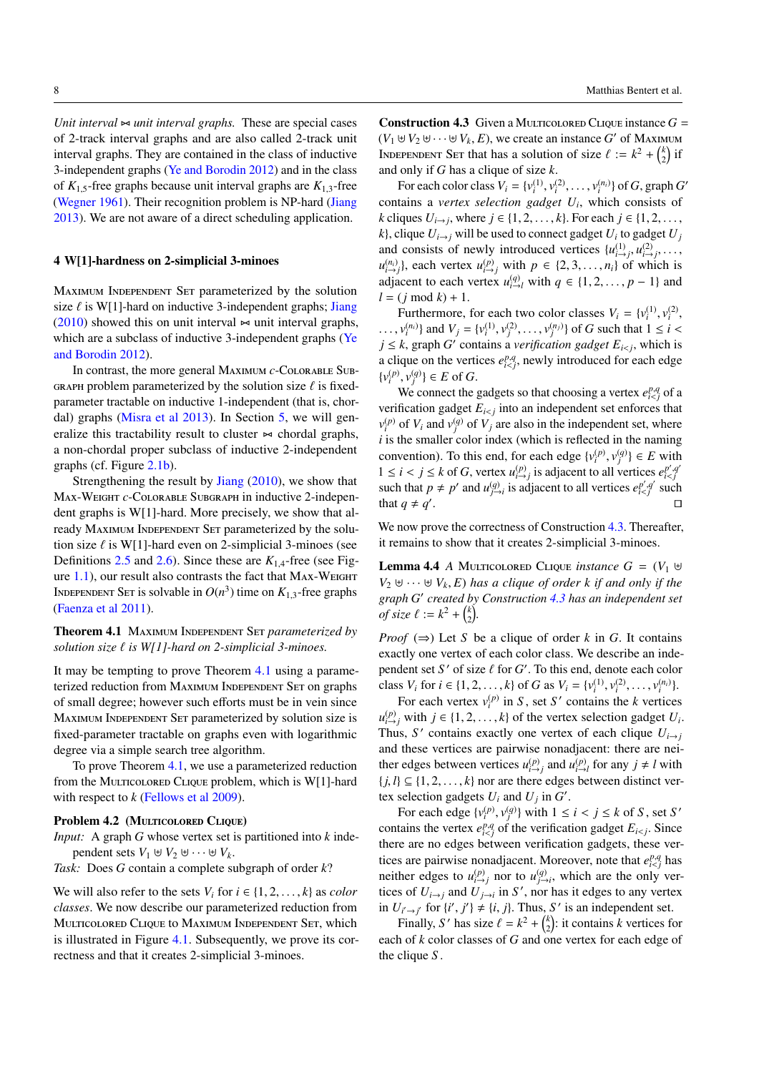*Unit interval*  $\sim$  *unit interval graphs.* These are special cases of 2-track interval graphs and are also called 2-track unit interval graphs. They are contained in the class of inductive 3-independent graphs [\(Ye and Borodin](#page-16-3) [2012\)](#page-16-3) and in the class of  $K_{1,5}$ -free graphs because unit interval graphs are  $K_{1,3}$ -free [\(Wegner](#page-16-13) [1961\)](#page-16-13). Their recognition problem is NP-hard [\(Jiang](#page-15-22) [2013\)](#page-15-22). We are not aware of a direct scheduling application.

## <span id="page-7-1"></span>4 W[1]-hardness on 2-simplicial 3-minoes

Maximum Independent Set parameterized by the solution size  $\ell$  is W[1]-hard on inductive 3-independent graphs; [Jiang](#page-15-3) [\(2010\)](#page-15-3) showed this on unit interval  $\approx$  unit interval graphs, which are a subclass of inductive 3-independent graphs [\(Ye](#page-16-3) [and Borodin](#page-16-3) [2012\)](#page-16-3).

In contrast, the more general Maximum *c*-Colorable Sub-GRAPH problem parameterized by the solution size  $\ell$  is fixedparameter tractable on inductive 1-independent (that is, chordal) graphs [\(Misra et al](#page-16-4) [2013\)](#page-16-4). In Section [5,](#page-9-1) we will generalize this tractability result to cluster  $\sim$  chordal graphs, a non-chordal proper subclass of inductive 2-independent graphs (cf. Figure [2.1b\)](#page-4-0).

Strengthening the result by [Jiang](#page-15-3) [\(2010\)](#page-15-3), we show that Max-Weight *c*-Colorable Subgraph in inductive 2-independent graphs is W[1]-hard. More precisely, we show that already MAXIMUM INDEPENDENT SET parameterized by the solution size  $\ell$  is W[1]-hard even on 2-simplicial 3-minoes (see Definitions [2.5](#page-3-3) and [2.6\)](#page-3-4). Since these are *K*1,4-free (see Figure [1.1\)](#page-1-0), our result also contrasts the fact that Max-Weight INDEPENDENT SET is solvable in  $O(n^3)$  time on  $K_{1,3}$ -free graphs [\(Faenza et al](#page-15-23) [2011\)](#page-15-23).

<span id="page-7-0"></span>Theorem 4.1 Maximum Independent Set *parameterized by solution size*  $\ell$  *is W[1]-hard on 2-simplicial 3-minoes.* 

It may be tempting to prove Theorem [4.1](#page-7-0) using a parameterized reduction from MAXIMUM INDEPENDENT SET on graphs of small degree; however such efforts must be in vein since MAXIMUM INDEPENDENT SET parameterized by solution size is fixed-parameter tractable on graphs even with logarithmic degree via a simple search tree algorithm.

To prove Theorem [4.1,](#page-7-0) we use a parameterized reduction from the MULTICOLORED CLIQUE problem, which is  $W[1]$ -hard with respect to *k* [\(Fellows et al](#page-15-24) [2009\)](#page-15-24).

#### Problem 4.2 (MULTICOLORED CLIQUE)

*Input:* A graph *G* whose vertex set is partitioned into *k* independent sets  $V_1 \oplus V_2 \oplus \cdots \oplus V_k$ .

*Task:* Does *G* contain a complete subgraph of order *k*?

<span id="page-7-2"></span>We will also refer to the sets  $V_i$  for  $i \in \{1, 2, \ldots, k\}$  as *color classes*. We now describe our parameterized reduction from Multicolored Clique to Maximum Independent Set, which is illustrated in Figure [4.1.](#page-8-0) Subsequently, we prove its correctness and that it creates 2-simplicial 3-minoes.

<span id="page-7-4"></span>8 Matthias Bentert et al.

**Construction 4.3** Given a MULTICOLORED CLIQUE instance  $G =$  $(V_1 \uplus V_2 \uplus \cdots \uplus V_k, E)$ , we create an instance *G'* of MAXIMUM INDEPENDENT SET that has a solution of size  $\ell := k^2 + \binom{k}{2}$  if and only if *G* has a clique of size *k*.

For each color class  $V_i = \{v_i^{(1)}, v_i^{(2)}, \dots, v_i^{(n_i)}\}$  of *G*, graph *G*<sup>*'*</sup> contains a *vertex selection gadget U<sup>i</sup>* , which consists of *k* cliques *U*<sub>*i*→*j*</sub>, where *j* ∈ {1, 2, . . . , *k*}. For each *j* ∈ {1, 2, . . . , *k*}, clique  $U_{i\rightarrow j}$  will be used to connect gadget  $U_i$  to gadget  $U_j$ and consists of newly introduced vertices  $\{u_{i\to j}^{(1)}, u_{i\to j}^{(2)}, \ldots, u_{i\to j}^{(n)}\}$  $u_{i\rightarrow j}^{(n_i)}$ , each vertex  $u_{i\rightarrow j}^{(p)}$  with  $p \in \{2, 3, ..., n_i\}$  of which is adjacent to each vertex  $u_{i\to l}^{(q)}$  with  $q \in \{1, 2, ..., p-1\}$  and  $l = (j \mod k) + 1$ .

Furthermore, for each two color classes  $V_i = \{v_i^{(1)}, v_i^{(2)},\}$ ...,  $v_i^{(n_i)}$ } and  $V_j = \{v_i^{(1)}, v_j^{(2)}, \dots, v_j^{(n_j)}\}$  of *G* such that  $1 \le i < j$ *j* ≤ *k*, graph *G*<sup> $\prime$ </sup> contains a *verification gadget*  $E$ <sub>*i*<*j*</sub>, which is a clique on the vertices  $e_{i, newly introduced for each edge$  $\{v_i^{(p)}, v_j^{(q)}\} \in E \text{ of } G.$ 

We connect the gadgets so that choosing a vertex  $e_{i \leq j}^{p,q}$  of a verification gadget  $E_{i \leq j}$  into an independent set enforces that  $v_i^{(p)}$  of  $V_i$  and  $v_j^{(q)}$  of  $V_j$  are also in the independent set, where *i* is the smaller color index (which is reflected in the naming convention). To this end, for each edge  $\{v_i^{(p)}, v_j^{(q)}\} \in E$  with 1 ≤ *i* < *j* ≤ *k* of *G*, vertex  $u_{i\to j}^{(p)}$  is adjacent to all vertices  $e_{i$ such that  $p \neq p'$  and  $u_{j \to i}^{(q)}$  is adjacent to all vertices  $e_{i \leq j}^{p', q'}$  such that  $q \neq q'$ . The contract of the contract of the contract of the contract of the contract of the contract of the contract of the contract of the contract of the contract of the contract of the contract of the contract of the contract

We now prove the correctness of Construction [4.3.](#page-7-2) Thereafter, it remains to show that it creates 2-simplicial 3-minoes.

<span id="page-7-3"></span>**Lemma 4.4** *A* MULTICOLORED CLIQUE *instance*  $G = (V_1 \oplus$  $V_2 \oplus \cdots \oplus V_k$ , *E*) has a clique of order *k* if and only if the *graph G* 0 *created by Construction [4.3](#page-7-2) has an independent set of size*  $\ell := k^2 + \binom{k}{2}$ .

*Proof*  $(\Rightarrow)$  Let *S* be a clique of order *k* in *G*. It contains exactly one vertex of each color class. We describe an independent set  $S'$  of size  $\ell$  for  $G'$ . To this end, denote each color class *V<sub>i</sub>* for  $i \in \{1, 2, ..., k\}$  of *G* as  $V_i = \{v_i^{(1)}, v_i^{(2)}, ..., v_i^{(n_i)}\}$ .

For each vertex  $v_i^{(p)}$  in *S*, set *S*<sup> $\prime$ </sup> contains the *k* vertices  $u_{i\rightarrow j}^{(p)}$  with  $j \in \{1, 2, ..., k\}$  of the vertex selection gadget *U<sub>i</sub>*. Thus, *S'* contains exactly one vertex of each clique  $U_{i\rightarrow j}$ and these vertices are pairwise nonadjacent: there are neither edges between vertices  $u_{i \to j}^{(p)}$  and  $u_{i \to l}^{(p)}$  for any  $j \ne l$  with  ${j, l} \subseteq {1, 2, ..., k}$  nor are there edges between distinct vertex selection gadgets  $U_i$  and  $U_j$  in  $G'$ .

For each edge  $\{v_i^{(p)}, v_j^{(q)}\}$  with  $1 \le i < j \le k$  of *S*, set *S*<sup>*'*</sup> contains the vertex  $e_{i \leq j}^{p,q}$  of the verification gadget  $E_{i \leq j}$ . Since there are no edges between verification gadgets, these vertices are pairwise nonadjacent. Moreover, note that  $e_{i \leq j}^{p,q}$  has neither edges to  $u_{i \to j}^{(p)}$  nor to  $u_{j \to i}^{(q)}$ , which are the only vertices of  $U_{i\rightarrow j}$  and  $U_{j\rightarrow i}$  in  $S'$ , nor has it edges to any vertex in  $U_{i' \to j'}$  for  $\{i', j'\} \neq \{i, j\}$ . Thus, *S'* is an independent set.

Finally, *S'* has size  $\ell = k^2 + {k \choose 2}$ : it contains *k* vertices for each of *k* color classes of *G* and one vertex for each edge of the clique *S* .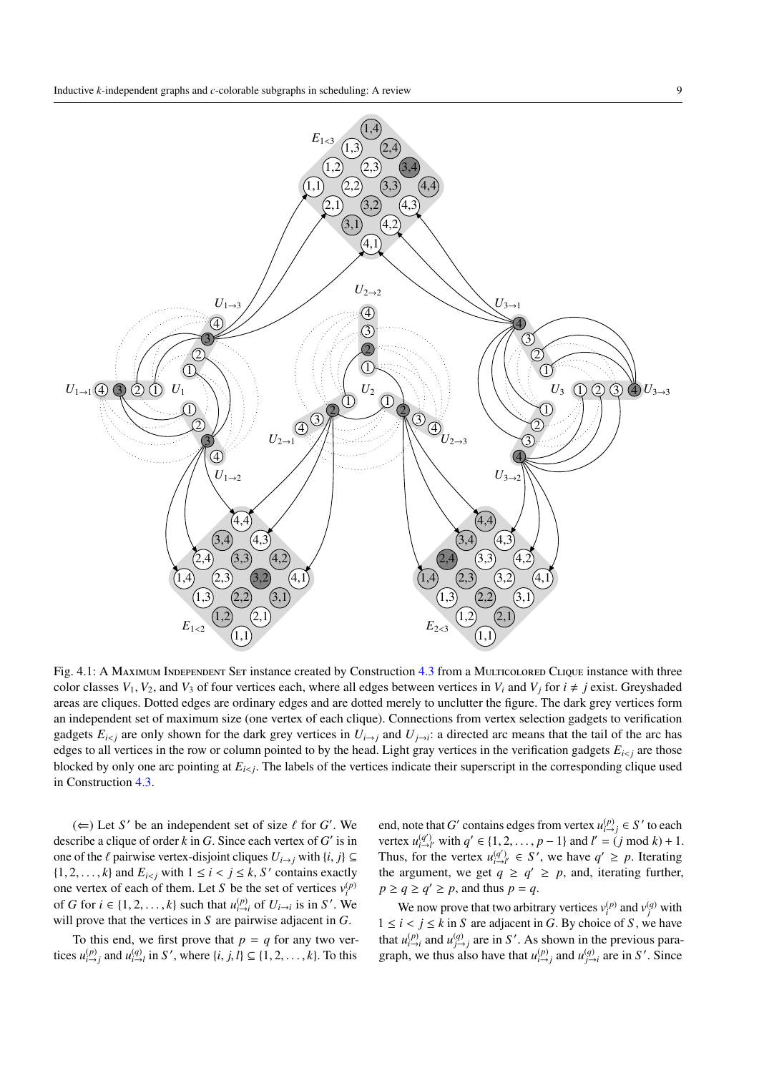<span id="page-8-0"></span>

Fig. 4.1: A Maximum Independent Set instance created by Construction [4.3](#page-7-2) from a Multicolored Clique instance with three color classes  $V_1$ ,  $V_2$ , and  $V_3$  of four vertices each, where all edges between vertices in  $V_i$  and  $V_j$  for  $i \neq j$  exist. Greyshaded areas are cliques. Dotted edges are ordinary edges and are dotted merely to unclutter the figure. The dark grey vertices form an independent set of maximum size (one vertex of each clique). Connections from vertex selection gadgets to verification gadgets  $E_{i \le j}$  are only shown for the dark grey vertices in  $U_{i \to j}$  and  $U_{j \to i}$ : a directed arc means that the tail of the arc has edges to all vertices in the row or column pointed to by the head. Light gray vertices in the verification gadgets  $E_{i \leq j}$  are those blocked by only one arc pointing at *Ei*<*<sup>j</sup>* . The labels of the vertices indicate their superscript in the corresponding clique used in Construction [4.3.](#page-7-2)

( $\Leftarrow$ ) Let *S*<sup>*'*</sup> be an independent set of size  $\ell$  for *G*'. We describe a clique of order  $k$  in  $G$ . Since each vertex of  $G'$  is in one of the  $\ell$  pairwise vertex-disjoint cliques  $U_{i\to j}$  with  $\{i, j\} \subseteq$  $\{1, 2, \ldots, k\}$  and  $E_{i < j}$  with  $1 \leq i < j \leq k$ , *S*<sup>*c*</sup> contains exactly one vertex of each of them. Let *S* be the set of vertices  $v_i^{(p)}$ of *G* for  $i \in \{1, 2, ..., k\}$  such that  $u_{i \to i}^{(p)}$  of  $U_{i \to i}$  is in *S'*. We will prove that the vertices in *S* are pairwise adjacent in *G*.

To this end, we first prove that  $p = q$  for any two vertices  $u_{i \to j}^{(p)}$  and  $u_{i \to l}^{(q)}$  in *S*', where  $\{i, j, l\} \subseteq \{1, 2, ..., k\}$ . To this

end, note that *G*<sup>*'*</sup> contains edges from vertex  $u_{i\to j}^{(p)} \in S'$  to each vertex  $u_{i\to i'}^{(q')}$  with  $q' \in \{1, 2, ..., p-1\}$  and  $l' = (j \mod k) + 1$ . Thus, for the vertex  $u_{i\to i'}^{(q')} \in S'$ , we have  $q' \ge p$ . Iterating the argument, we get  $q \ge q' \ge p$ , and, iterating further,  $p \ge q \ge q' \ge p$ , and thus  $p = q$ .

We now prove that two arbitrary vertices  $v_i^{(p)}$  and  $v_j^{(q)}$  with  $1 \leq i < j \leq k$  in *S* are adjacent in *G*. By choice of *S*, we have that  $u_{i\to i}^{(p)}$  and  $u_{j\to j}^{(q)}$  are in *S'*. As shown in the previous paragraph, we thus also have that  $u_{i \to j}^{(p)}$  and  $u_{j \to i}^{(q)}$  are in *S*'. Since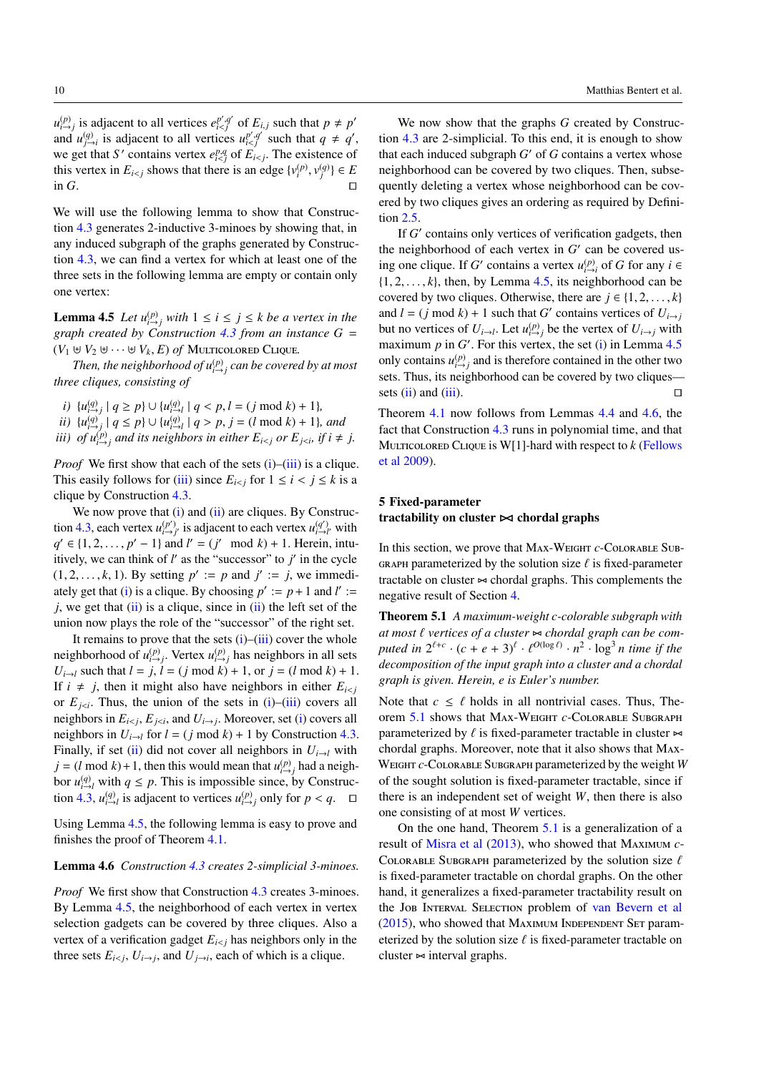<span id="page-9-7"></span> $u_{i \to j}^{(p)}$  is adjacent to all vertices  $e_{i \le j}^{p', q'}$  of  $E_{i,j}$  such that  $p \ne p'$ and  $u_{j\to i}^{(q)}$  is adjacent to all vertices  $u_{i such that  $q \neq q'$ ,$ we get that *S*<sup>*'*</sup> contains vertex  $e_{i of  $E_{i. The existence of$$ this vertex in  $E_{i \le j}$  shows that there is an edge  $\{v_i^{(p)}, v_j^{(q)}\} \in E$ in *G*.

We will use the following lemma to show that Construction [4.3](#page-7-2) generates 2-inductive 3-minoes by showing that, in any induced subgraph of the graphs generated by Construction [4.3,](#page-7-2) we can find a vertex for which at least one of the three sets in the following lemma are empty or contain only one vertex:

<span id="page-9-5"></span>**Lemma 4.5** *Let*  $u_{i \to j}^{(p)}$  *with*  $1 \leq i \leq j \leq k$  *be a vertex in the graph created by Construction [4.3](#page-7-2) from an instance G* =  $(V_1 \oplus V_2 \oplus \cdots \oplus V_k, E)$  *of* Multicolored Clique.

Then, the neighborhood of  $u_{i\rightarrow j}^{(p)}$  can be covered by at most *three cliques, consisting of*

- <span id="page-9-2"></span> $i)$  { $u_{i \to j}^{(q)} \mid q \ge p$ }  $\cup$  { $u_{i \to l}^{(q)} \mid q < p, l = (j \mod k) + 1$ }*,*
- <span id="page-9-4"></span>*ii*)  $\{u_{i \to j}^{(q)} \mid q \leq p\} \cup \{u_{i \to l}^{(q)} \mid q > p, j = (l \mod k) + 1\}$ , and
- <span id="page-9-3"></span>*iii*) *of*  $u_{i\rightarrow j}^{(p)}$  *and its neighbors in either E<sub><i>i*</sub><sub>i</sub> *or E<sub><i>j*</sub><sub>i</sub>, *if i*  $\neq$  *j.*

*Proof* We first show that each of the sets  $(i)$ – $(iii)$  is a clique. This easily follows for [\(iii\)](#page-9-3) since  $E_{i \le j}$  for  $1 \le i \le j \le k$  is a clique by Construction [4.3.](#page-7-2)

We now prove that  $(i)$  and  $(ii)$  are cliques. By Construc-tion [4.3,](#page-7-2) each vertex  $u_{i \to j'}^{(p')}$  is adjacent to each vertex  $u_{i \to l'}^{(q')}$  with *q*<sup> $\prime$ </sup> ∈ {1, 2, . . . , *p*<sup> $\prime$ </sup> − 1} and *l*<sup> $\prime$ </sup> = (*j*<sup> $\prime$ </sup> mod *k*) + 1. Herein, intuitively, we can think of  $l'$  as the "successor" to  $j'$  in the cycle  $(1, 2, \ldots, k, 1)$ . By setting  $p' := p$  and  $j' := j$ , we immedi-ately get that [\(i\)](#page-9-2) is a clique. By choosing  $p' := p + 1$  and  $l' :=$  $j$ , we get that  $(ii)$  is a clique, since in  $(ii)$  the left set of the union now plays the role of the "successor" of the right set.

It remains to prove that the sets  $(i)$ – $(iii)$  cover the whole neighborhood of  $u_{i\rightarrow j}^{(p)}$ . Vertex  $u_{i\rightarrow j}^{(p)}$  has neighbors in all sets *U*<sub>*i*→*l*</sub> such that  $l = j$ ,  $l = (j \mod k) + 1$ , or  $j = (l \mod k) + 1$ . If  $i \neq j$ , then it might also have neighbors in either  $E_{i \leq j}$ or  $E_{j \leq i}$ . Thus, the union of the sets in [\(i\)](#page-9-2)–[\(iii\)](#page-9-3) covers all neighbors in  $E_{i \le j}$ ,  $E_{j \le i}$ , and  $U_{i \to j}$ . Moreover, set [\(i\)](#page-9-2) covers all neighbors in  $U_{i\rightarrow l}$  for  $l = (j \mod k) + 1$  by Construction [4.3.](#page-7-2) Finally, if set [\(ii\)](#page-9-4) did not cover all neighbors in  $U_{i\rightarrow l}$  with  $j = (l \mod k) + 1$ , then this would mean that  $u_{i \to j}^{(p)}$  had a neighbor  $u_{i\to l}^{(q)}$  with  $q \leq p$ . This is impossible since, by Construc-tion [4.3,](#page-7-2)  $u_{i\to j}^{(q)}$  is adjacent to vertices  $u_{i\to j}^{(p)}$  only for  $p < q$ .  $\Box$ 

Using Lemma [4.5,](#page-9-5) the following lemma is easy to prove and finishes the proof of Theorem [4.1.](#page-7-0)

## <span id="page-9-6"></span>Lemma 4.6 *Construction [4.3](#page-7-2) creates 2-simplicial 3-minoes.*

*Proof* We first show that Construction [4.3](#page-7-2) creates 3-minoes. By Lemma [4.5,](#page-9-5) the neighborhood of each vertex in vertex selection gadgets can be covered by three cliques. Also a vertex of a verification gadget  $E_{i \leq j}$  has neighbors only in the three sets  $E_{i \le j}$ ,  $U_{i \to j}$ , and  $U_{j \to i}$ , each of which is a clique.

We now show that the graphs *G* created by Construc-

tion [4.3](#page-7-2) are 2-simplicial. To this end, it is enough to show that each induced subgraph  $G'$  of  $G$  contains a vertex whose neighborhood can be covered by two cliques. Then, subsequently deleting a vertex whose neighborhood can be covered by two cliques gives an ordering as required by Definition [2.5.](#page-3-3)

If *G*' contains only vertices of verification gadgets, then the neighborhood of each vertex in  $G'$  can be covered using one clique. If *G*<sup> $\prime$ </sup> contains a vertex  $u_{i\rightarrow i}^{(p)}$  of *G* for any  $i \in$  $\{1, 2, \ldots, k\}$ , then, by Lemma [4.5,](#page-9-5) its neighborhood can be covered by two cliques. Otherwise, there are  $j \in \{1, 2, \ldots, k\}$ and  $l = (j \mod k) + 1$  such that *G*<sup> $\prime$ </sup> contains vertices of  $U_{i \rightarrow j}$ but no vertices of  $U_{i\to l}$ . Let  $u_{i\to j}^{(p)}$  be the vertex of  $U_{i\to j}$  with maximum  $p$  in  $G'$ . For this vertex, the set [\(i\)](#page-9-2) in Lemma  $4.5$ only contains  $u_{i \to j}^{(p)}$  and is therefore contained in the other two sets. Thus, its neighborhood can be covered by two cliques sets  $(ii)$  and  $(iii)$ .

Theorem [4.1](#page-7-0) now follows from Lemmas [4.4](#page-7-3) and [4.6,](#page-9-6) the fact that Construction [4.3](#page-7-2) runs in polynomial time, and that MULTICOLORED CLIQUE is  $W[1]$ -hard with respect to  $k$  [\(Fellows](#page-15-24) [et al](#page-15-24) [2009\)](#page-15-24).

# <span id="page-9-1"></span>5 Fixed-parameter tractability on cluster  $\bowtie$  chordal graphs

In this section, we prove that Max-Weight *c*-Colorable Sub-GRAPH parameterized by the solution size  $\ell$  is fixed-parameter tractable on cluster  $\approx$  chordal graphs. This complements the negative result of Section [4.](#page-7-1)

<span id="page-9-0"></span>Theorem 5.1 *A maximum-weight c-colorable subgraph with at most ℓ vertices of a cluster*  $\Join$  *chordal graph can be com* $p$ *uted in*  $2^{\ell+c} \cdot (c+e+3)^{\ell} \cdot \ell^{O(\log \ell)} \cdot n^2 \cdot \log^3 n$  *time if the decomposition of the input graph into a cluster and a chordal graph is given. Herein, e is Euler's number.*

Note that  $c \leq \ell$  holds in all nontrivial cases. Thus, Theorem [5.1](#page-9-0) shows that Max-Weight *c*-Colorable Subgraph parameterized by  $\ell$  is fixed-parameter tractable in cluster  $\approx$ chordal graphs. Moreover, note that it also shows that Max-Weight *c*-Colorable Subgraph parameterized by the weight *W* of the sought solution is fixed-parameter tractable, since if there is an independent set of weight *W*, then there is also one consisting of at most *W* vertices.

On the one hand, Theorem [5.1](#page-9-0) is a generalization of a result of [Misra et al](#page-16-4) [\(2013\)](#page-16-4), who showed that Maximum *c*-COLORABLE SUBGRAPH parameterized by the solution size  $\ell$ is fixed-parameter tractable on chordal graphs. On the other hand, it generalizes a fixed-parameter tractability result on the Job Interval Selection problem of [van Bevern et al](#page-15-6)  $(2015)$ , who showed that MAXIMUM INDEPENDENT SET parameterized by the solution size  $\ell$  is fixed-parameter tractable on cluster  $\approx$  interval graphs.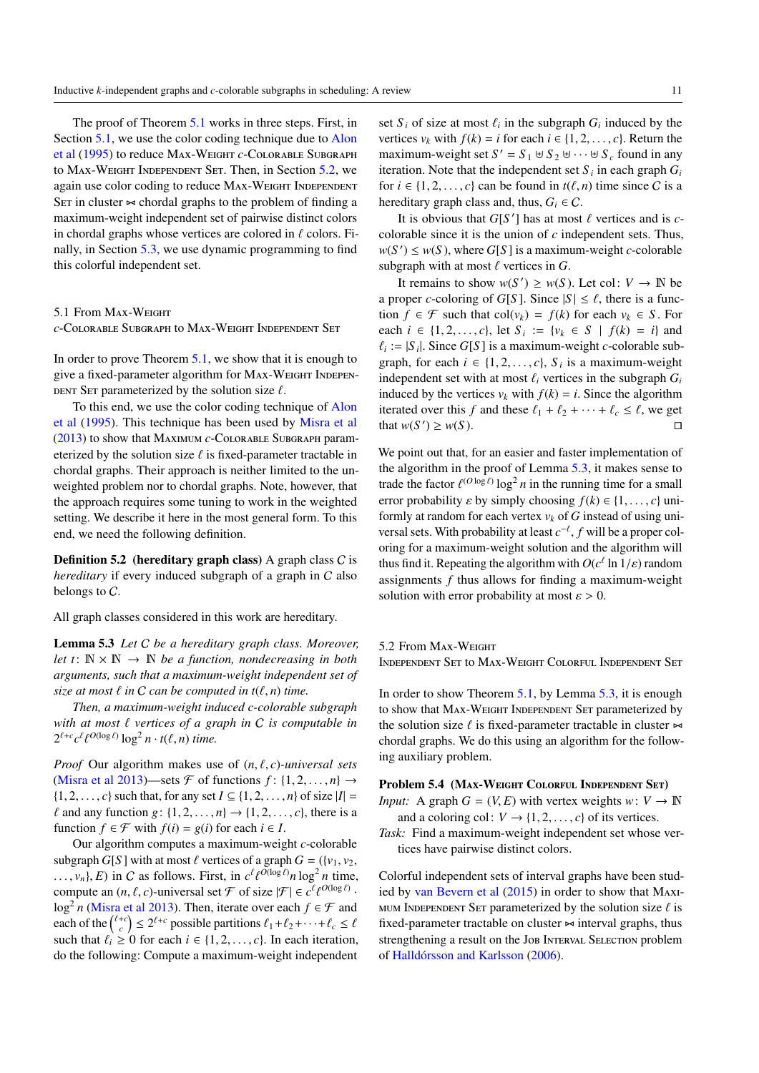<span id="page-10-3"></span>The proof of Theorem [5.1](#page-9-0) works in three steps. First, in Section [5.1,](#page-10-0) we use the color coding technique due to [Alon](#page-15-25) [et al](#page-15-25) [\(1995\)](#page-15-25) to reduce Max-Weight *c*-Colorable Subgraph to Max-Weight Independent Set. Then, in Section [5.2,](#page-10-1) we again use color coding to reduce MAX-WEIGHT INDEPENDENT SET in cluster  $\sim$  chordal graphs to the problem of finding a maximum-weight independent set of pairwise distinct colors in chordal graphs whose vertices are colored in  $\ell$  colors. Finally, in Section [5.3,](#page-11-0) we use dynamic programming to find this colorful independent set.

# <span id="page-10-0"></span>5.1 From Max-Weight

*c*-Colorable Subgraph to Max-Weight Independent Set

In order to prove Theorem [5.1,](#page-9-0) we show that it is enough to give a fixed-parameter algorithm for Max-Weight Indepen-DENT SET parameterized by the solution size  $\ell$ .

To this end, we use the color coding technique of [Alon](#page-15-25) [et al](#page-15-25) [\(1995\)](#page-15-25). This technique has been used by [Misra et al](#page-16-4) [\(2013\)](#page-16-4) to show that Maximum *c*-Colorable Subgraph parameterized by the solution size  $\ell$  is fixed-parameter tractable in chordal graphs. Their approach is neither limited to the unweighted problem nor to chordal graphs. Note, however, that the approach requires some tuning to work in the weighted setting. We describe it here in the most general form. To this end, we need the following definition.

**Definition 5.2** (hereditary graph class) A graph class  $C$  is *hereditary* if every induced subgraph of a graph in C also belongs to C.

<span id="page-10-2"></span>All graph classes considered in this work are hereditary.

Lemma 5.3 *Let* C *be a hereditary graph class. Moreover, let*  $t: \mathbb{N} \times \mathbb{N} \to \mathbb{N}$  *be a function, nondecreasing in both arguments, such that a maximum-weight independent set of size at most*  $\ell$  *in*  $C$  *can be computed in*  $t(\ell, n)$  *time.* 

*Then, a maximum-weight induced c-colorable subgraph with at most*  $\ell$  *vertices of a graph in*  $C$  *is computable in*  $2^{\ell+c}c^{\ell}\ell^{O(\log \ell)}\log^2 n \cdot t(\ell, n)$  time.

*Proof* Our algorithm makes use of  $(n, \ell, c)$ *-universal sets* [\(Misra et al](#page-16-4) [2013\)](#page-16-4)—sets  $\mathcal F$  of functions  $f: \{1, 2, ..., n\} \rightarrow$  $\{1, 2, \ldots, c\}$  such that, for any set  $I \subseteq \{1, 2, \ldots, n\}$  of size  $|I| =$  $\ell$  and any function  $g: \{1, 2, \ldots, n\} \rightarrow \{1, 2, \ldots, c\}$ , there is a function  $f \in \mathcal{F}$  with  $f(i) = g(i)$  for each  $i \in I$ .

Our algorithm computes a maximum-weight *c*-colorable subgraph *G*[*S*] with at most  $\ell$  vertices of a graph  $G = (\{v_1, v_2,$  $\dots$ ,  $v_n$ ,  $E$ ) in C as follows. First, in  $c^{\ell} \ell^{O(\log \ell)} n \log^2 n$  time, compute an  $(n, \ell, c)$ -universal set  $\mathcal F$  of size  $|\mathcal F| \in c^{\ell} \ell^{O(\log \ell)}$ . log<sup>2</sup> *n* [\(Misra et al](#page-16-4) [2013\)](#page-16-4). Then, iterate over each  $f \in \mathcal{F}$  and each of the  $\binom{\ell+c}{c} \le 2^{\ell+c}$  possible partitions  $\ell_1 + \ell_2 + \cdots + \ell_c \le \ell$ such that  $\ell_i \geq 0$  for each  $i \in \{1, 2, \ldots, c\}$ . In each iteration, do the following: Compute a maximum-weight independent

set  $S_i$  of size at most  $\ell_i$  in the subgraph  $G_i$  induced by the vertices  $v_k$  with  $f(k) = i$  for each  $i \in \{1, 2, \ldots, c\}$ . Return the maximum-weight set  $S' = S_1 \oplus S_2 \oplus \cdots \oplus S_c$  found in any iteration. Note that the independent set  $S_i$  in each graph  $G_i$ for  $i \in \{1, 2, \ldots, c\}$  can be found in  $t(\ell, n)$  time since C is a hereditary graph class and, thus,  $G_i \in \mathcal{C}$ .

It is obvious that  $G[S']$  has at most  $\ell$  vertices and is  $c$ colorable since it is the union of *c* independent sets. Thus,  $w(S') \leq w(S)$ , where *G*[*S*] is a maximum-weight *c*-colorable subgraph with at most  $\ell$  vertices in  $G$ .

It remains to show  $w(S') \geq w(S)$ . Let col:  $V \to \mathbb{N}$  be a proper *c*-coloring of *G*[*S*]. Since  $|S| \le \ell$ , there is a function *f* ∈ *F* such that col(*v<sub>k</sub>*) = *f*(*k*) for each *v<sub>k</sub>* ∈ *S*. For each *i* ∈ {1, 2, . . . , *c*}, let *S i* := {*v<sub>k</sub>* ∈ *S* | *f*(*k*) = *i*} and  $\ell_i := |S_i|$ . Since *G*[*S*] is a maximum-weight *c*-colorable subgraph, for each  $i \in \{1, 2, ..., c\}$ ,  $S_i$  is a maximum-weight independent set with at most  $\ell_i$  vertices in the subgraph  $G_i$ induced by the vertices  $v_k$  with  $f(k) = i$ . Since the algorithm iterated over this *f* and these  $\ell_1 + \ell_2 + \cdots + \ell_c \leq \ell$ , we get that  $w(S') \geq w(S)$ . that  $w(S') \geq w(S)$ .

We point out that, for an easier and faster implementation of the algorithm in the proof of Lemma [5.3,](#page-10-2) it makes sense to trade the factor  $\ell^{(O \log \ell)} \log^2 n$  in the running time for a small error probability  $\varepsilon$  by simply choosing  $f(k) \in \{1, \ldots, c\}$  uniformly at random for each vertex  $v_k$  of  $G$  instead of using universal sets. With probability at least  $c^{-\ell}$ ,  $f$  will be a proper coloring for a maximum-weight solution and the algorithm will thus find it. Repeating the algorithm with  $O(c^{\ell} \ln 1/\varepsilon)$  random assignments *f* thus allows for finding a maximum-weight solution with error probability at most  $\varepsilon > 0$ .

<span id="page-10-1"></span>5.2 From Max-Weight

Independent Set to Max-Weight Colorful Independent Set

In order to show Theorem [5.1,](#page-9-0) by Lemma [5.3,](#page-10-2) it is enough to show that MAX-WEIGHT INDEPENDENT SET parameterized by the solution size  $\ell$  is fixed-parameter tractable in cluster  $\approx$ chordal graphs. We do this using an algorithm for the following auxiliary problem.

## Problem 5.4 (Max-Weight Colorful Independent Set)

*Input:* A graph  $G = (V, E)$  with vertex weights  $w: V \to \mathbb{N}$ and a coloring col:  $V \rightarrow \{1, 2, \ldots, c\}$  of its vertices.

*Task:* Find a maximum-weight independent set whose vertices have pairwise distinct colors.

Colorful independent sets of interval graphs have been studied by [van Bevern et al](#page-15-6) [\(2015\)](#page-15-6) in order to show that Maxi-MUM INDEPENDENT SET parameterized by the solution size  $\ell$  is fixed-parameter tractable on cluster  $\approx$  interval graphs, thus strengthening a result on the Job INTERVAL SELECTION problem of [Halldórsson and Karlsson](#page-15-4) [\(2006\)](#page-15-4).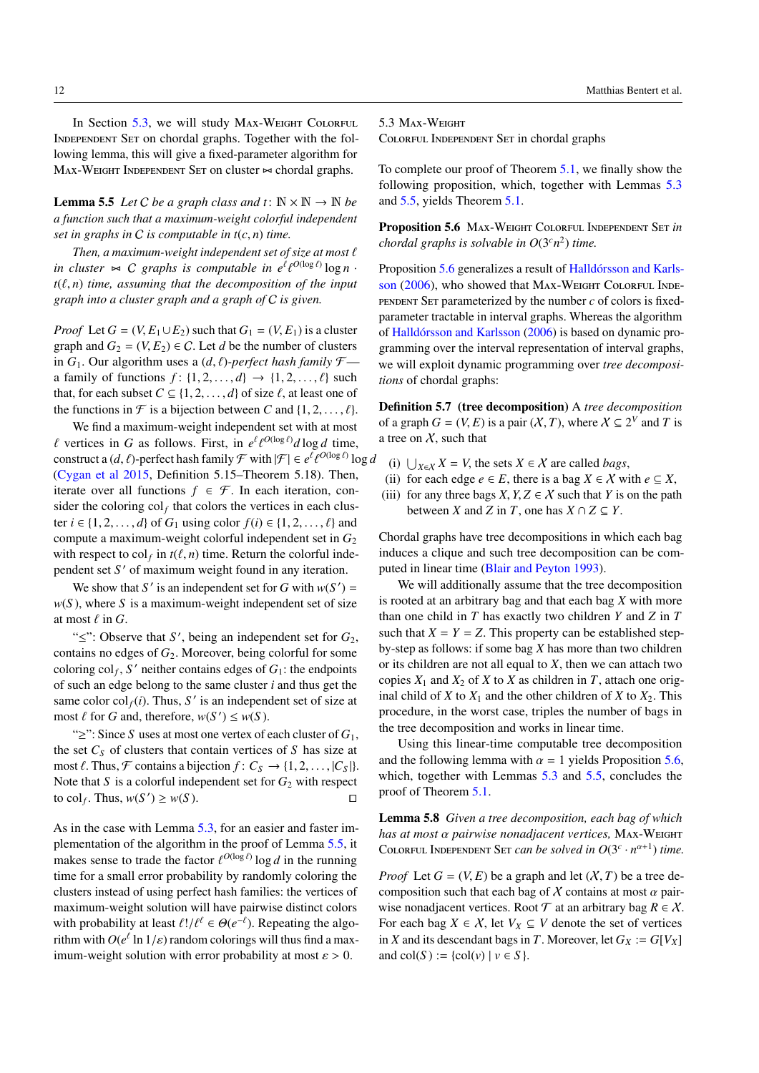<span id="page-11-8"></span>12 Matthias Bentert et al.

In Section [5.3,](#page-11-0) we will study Max-Weight Colorful INDEPENDENT SET on chordal graphs. Together with the following lemma, this will give a fixed-parameter algorithm for  $Max-WEIGHT INDEPENDENT SET$  on cluster  $\approx$  chordal graphs.

<span id="page-11-1"></span>**Lemma 5.5** *Let C be a graph class and*  $t: \mathbb{N} \times \mathbb{N} \rightarrow \mathbb{N}$  *be a function such that a maximum-weight colorful independent set in graphs in* C *is computable in t*(*c*, *n*) *time.*

Then, a maximum-weight independent set of size at most  $\ell$ in cluster  $\bowtie$  *C* graphs is computable in  $e^{\ell} \ell^{O(\log \ell)} \log n$ .  $t(\ell, n)$  *time, assuming that the decomposition of the input graph into a cluster graph and a graph of* C *is given.*

*Proof* Let  $G = (V, E_1 \cup E_2)$  such that  $G_1 = (V, E_1)$  is a cluster graph and  $G_2 = (V, E_2) \in \mathcal{C}$ . Let *d* be the number of clusters in  $G_1$ . Our algorithm uses a  $(d, \ell)$ *-perfect hash family*  $\mathcal{F}$  a family of functions  $f: \{1, 2, \ldots, d\} \rightarrow \{1, 2, \ldots, \ell\}$  such that, for each subset  $C \subseteq \{1, 2, ..., d\}$  of size  $\ell$ , at least one of the functions in  $\mathcal F$  is a bijection between *C* and  $\{1, 2, \ldots, \ell\}$ .

We find a maximum-weight independent set with at most  $\ell$  vertices in *G* as follows. First, in  $e^{\ell} \ell^{O(\log \ell)} d \log d$  time, construct a  $(d, \ell)$ -perfect hash family  $\mathcal{F}$  with  $|\mathcal{F}| \in e^{\ell} \ell^{O(\log \ell)} \log d$ [\(Cygan et al](#page-15-8) [2015,](#page-15-8) Definition 5.15–Theorem 5.18). Then, iterate over all functions  $f \in \mathcal{F}$ . In each iteration, consider the coloring  $col_f$  that colors the vertices in each cluster *i* ∈ {1, 2, . . . , *d*} of *G*<sub>1</sub> using color *f*(*i*) ∈ {1, 2, . . . , *t*} and compute a maximum-weight colorful independent set in  $G_2$ with respect to  $col_f$  in  $t(\ell, n)$  time. Return the colorful independent set S' of maximum weight found in any iteration.

We show that *S*<sup> $\prime$ </sup> is an independent set for *G* with  $w(S') =$  $w(S)$ , where *S* is a maximum-weight independent set of size at most  $\ell$  in  $G$ .

" $\leq$ ": Observe that *S'*, being an independent set for  $G_2$ , contains no edges of  $G_2$ . Moreover, being colorful for some coloring  $col_f$ , S' neither contains edges of  $G_1$ : the endpoints of such an edge belong to the same cluster *i* and thus get the same color  $col_f(i)$ . Thus, S' is an independent set of size at most  $\ell$  for *G* and, therefore,  $w(S') \leq w(S)$ .

"≥": Since *S* uses at most one vertex of each cluster of *G*1, the set  $C_S$  of clusters that contain vertices of  $S$  has size at most  $\ell$ . Thus,  $\mathcal F$  contains a bijection  $f: C_S \to \{1, 2, \ldots, |C_S|\}.$ Note that *S* is a colorful independent set for  $G_2$  with respect to col<sub>f</sub>. Thus,  $w(S') \ge w(S)$ .

As in the case with Lemma [5.3,](#page-10-2) for an easier and faster implementation of the algorithm in the proof of Lemma [5.5,](#page-11-1) it makes sense to trade the factor  $\ell^{O(\log \ell)}$  log *d* in the running time for a small error probability by randomly coloring the clusters instead of using perfect hash families: the vertices of maximum-weight solution will have pairwise distinct colors with probability at least  $\ell!/ \ell^{\ell} \in \Theta(e^{-\ell})$ . Repeating the algorithm with  $O(e^{\ell} \ln 1/\varepsilon)$  random colorings will thus find a maximum-weight solution with error probability at most  $\varepsilon > 0$ .

## <span id="page-11-0"></span>5.3 Max-Weight

Colorful Independent Set in chordal graphs

To complete our proof of Theorem [5.1,](#page-9-0) we finally show the following proposition, which, together with Lemmas [5.3](#page-10-2) and [5.5,](#page-11-1) yields Theorem [5.1.](#page-9-0)

<span id="page-11-2"></span>Proposition 5.6 Max-Weight Colorful Independent Set *in chordal graphs is solvable in*  $O(3<sup>c</sup>n<sup>2</sup>)$  *time.* 

Proposition [5.6](#page-11-2) generalizes a result of [Halldórsson and Karls](#page-15-4)[son](#page-15-4) [\(2006\)](#page-15-4), who showed that MAX-WEIGHT COLORFUL INDE-PENDENT SET parameterized by the number  $c$  of colors is fixedparameter tractable in interval graphs. Whereas the algorithm of [Halldórsson and Karlsson](#page-15-4) [\(2006\)](#page-15-4) is based on dynamic programming over the interval representation of interval graphs, we will exploit dynamic programming over *tree decompositions* of chordal graphs:

<span id="page-11-3"></span>Definition 5.7 (tree decomposition) A *tree decomposition* of a graph  $G = (V, E)$  is a pair  $(X, T)$ , where  $X \subseteq 2^V$  and *T* is a tree on  $X$ , such that

- <span id="page-11-4"></span>(i) ∪<sub>*X*∈*X*</sub> *X* = *V*, the sets *X* ∈ *X* are called *bags*,
- <span id="page-11-6"></span>(ii) for each edge  $e \in E$ , there is a bag  $X \in \mathcal{X}$  with  $e \subseteq X$ ,
- <span id="page-11-5"></span>(iii) for any three bags *X*,  $Y, Z \in \mathcal{X}$  such that *Y* is on the path between *X* and *Z* in *T*, one has  $X \cap Z \subseteq Y$ .

Chordal graphs have tree decompositions in which each bag induces a clique and such tree decomposition can be computed in linear time [\(Blair and Peyton](#page-15-19) [1993\)](#page-15-19).

We will additionally assume that the tree decomposition is rooted at an arbitrary bag and that each bag *X* with more than one child in *T* has exactly two children *Y* and *Z* in *T* such that  $X = Y = Z$ . This property can be established stepby-step as follows: if some bag *X* has more than two children or its children are not all equal to *X*, then we can attach two copies  $X_1$  and  $X_2$  of  $X$  to  $X$  as children in  $T$ , attach one original child of *X* to  $X_1$  and the other children of *X* to  $X_2$ . This procedure, in the worst case, triples the number of bags in the tree decomposition and works in linear time.

Using this linear-time computable tree decomposition and the following lemma with  $\alpha = 1$  yields Proposition [5.6,](#page-11-2) which, together with Lemmas [5.3](#page-10-2) and [5.5,](#page-11-1) concludes the proof of Theorem [5.1.](#page-9-0)

<span id="page-11-7"></span>Lemma 5.8 *Given a tree decomposition, each bag of which has at most* α *pairwise nonadjacent vertices,* Max-Weight COLORFUL INDEPENDENT SET *can be solved in*  $O(3^c \cdot n^{\alpha+1})$  *time.* 

*Proof* Let  $G = (V, E)$  be a graph and let  $(X, T)$  be a tree decomposition such that each bag of X contains at most  $\alpha$  pairwise nonadjacent vertices. Root  $\mathcal T$  at an arbitrary bag  $R \in \mathcal X$ . For each bag  $X \in \mathcal{X}$ , let  $V_X \subseteq V$  denote the set of vertices in *X* and its descendant bags in *T*. Moreover, let  $G_X := G[V_X]$ and  $col(S) := \{col(v) | v \in S \}.$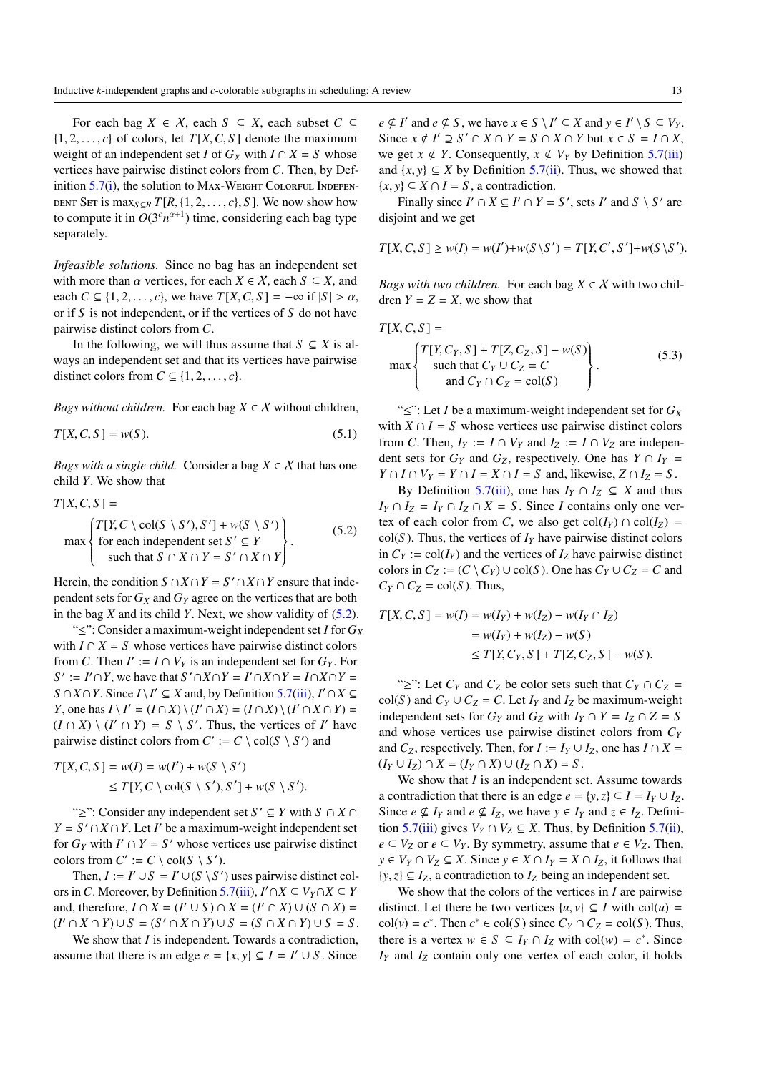For each bag  $X \in \mathcal{X}$ , each  $S \subseteq X$ , each subset  $C \subseteq$  $\{1, 2, \ldots, c\}$  of colors, let  $T[X, C, S]$  denote the maximum weight of an independent set *I* of  $G_X$  with  $I \cap X = S$  whose vertices have pairwise distinct colors from *C*. Then, by Definition  $5.7(i)$  $5.7(i)$ , the solution to MAX-WEIGHT COLORFUL INDEPEN-DENT SET is  $\max_{S \subseteq R} T[R, \{1, 2, \ldots, c\}, S]$ . We now show how to compute it in  $O(3<sup>c</sup>n<sup>{\alpha+1}</sup>)$  time, considering each bag type separately.

*Infeasible solutions.* Since no bag has an independent set with more than  $\alpha$  vertices, for each  $X \in \mathcal{X}$ , each  $S \subseteq X$ , and each  $C \subseteq \{1, 2, \ldots, c\}$ , we have  $T[X, C, S] = -\infty$  if  $|S| > \alpha$ , or if *S* is not independent, or if the vertices of *S* do not have pairwise distinct colors from *C*.

In the following, we will thus assume that  $S \subseteq X$  is always an independent set and that its vertices have pairwise distinct colors from  $C \subseteq \{1, 2, \ldots, c\}.$ 

*Bags without children.* For each bag  $X \in \mathcal{X}$  without children,

$$
T[X, C, S] = w(S). \tag{5.1}
$$

*Bags with a single child.* Consider a bag  $X \in \mathcal{X}$  that has one child *Y*. We show that

$$
T[X, C, S] =
$$
  
\n
$$
\max \left\{ \begin{aligned} T[Y, C \setminus \text{col}(S \setminus S'), S'] + w(S \setminus S') \\ \text{for each independent set } S' \subseteq Y \\ \text{such that } S \cap X \cap Y = S' \cap X \cap Y \end{aligned} \right\}.
$$
 (5.2)

Herein, the condition  $S \cap X \cap Y = S' \cap X \cap Y$  ensure that independent sets for  $G_X$  and  $G_Y$  agree on the vertices that are both in the bag *X* and its child *Y*. Next, we show validity of [\(5.2\)](#page-12-0).

"≤": Consider a maximum-weight independent set *I* for *G<sup>X</sup>* with  $I \cap X = S$  whose vertices have pairwise distinct colors from *C*. Then  $I' := I \cap V_Y$  is an independent set for  $G_Y$ . For  $S' := I' \cap Y$ , we have that  $S' \cap X \cap Y = I' \cap X \cap Y = I \cap X \cap Y = I$ *S* ∩*X* ∩ *Y*. Since *I* \ *I*<sup> $\prime$ </sup> ⊆ *X* and, by Definition [5.7](#page-11-3)[\(iii\)](#page-11-5), *I*<sup> $\prime$ </sup> ∩ *X* ⊆ *Y*, one has  $I \setminus I' = (I \cap X) \setminus (I' \cap X) = (I \cap X) \setminus (I' \cap X \cap Y) =$  $(I \cap X) \setminus (I' \cap Y) = S \setminus S'$ . Thus, the vertices of *I*' have pairwise distinct colors from  $C' := C \setminus col(S \setminus S')$  and

$$
T[X, C, S] = w(I) = w(I') + w(S \setminus S')
$$
  
\n
$$
\leq T[Y, C \setminus col(S \setminus S'), S'] + w(S \setminus S').
$$

"≥": Consider any independent set *S* <sup>0</sup> ⊆ *Y* with *S* ∩ *X* ∩  $Y = S' \cap X \cap Y$ . Let *I'* be a maximum-weight independent set for  $G_Y$  with  $I' \cap Y = S'$  whose vertices use pairwise distinct colors from  $C' := C \setminus col(S \setminus S')$ .

Then,  $I := I' \cup S = I' \cup (S \setminus S')$  uses pairwise distinct colors in *C*. Moreover, by Definition [5.7\(](#page-11-3)[iii\)](#page-11-5),  $I' \cap X \subseteq V_Y \cap X \subseteq Y$ and, therefore,  $I \cap X = (I' \cup S) \cap X = (I' \cap X) \cup (S \cap X) =$  $(I' \cap X \cap Y) \cup S = (S' \cap X \cap Y) \cup S = (S \cap X \cap Y) \cup S = S$ .

We show that *I* is independent. Towards a contradiction, assume that there is an edge  $e = \{x, y\} \subseteq I = I' \cup S$ . Since

 $e \nsubseteq I'$  and  $e \nsubseteq S$ , we have  $x \in S \setminus I' \subseteq X$  and  $y \in I' \setminus S \subseteq V_Y$ . Since  $x \notin I' \supseteq S' \cap X \cap Y = S \cap X \cap Y$  but  $x \in S = I \cap X$ , we get  $x \notin Y$ . Consequently,  $x \notin V_Y$  by Definition [5.7](#page-11-3)[\(iii\)](#page-11-5) and  $\{x, y\} \subseteq X$  by Definition [5.7](#page-11-3)[\(ii\)](#page-11-6). Thus, we showed that  $\{x, y\} \subseteq X \cap I = S$ , a contradiction.

Finally since  $I' \cap X \subseteq I' \cap Y = S'$ , sets  $I'$  and  $S \setminus S'$  are disjoint and we get

$$
T[X, C, S] \ge w(I) = w(I') + w(S \setminus S') = T[Y, C', S'] + w(S \setminus S').
$$

*Bags with two children.* For each bag  $X \in \mathcal{X}$  with two children  $Y = Z = X$ , we show that

$$
T[X, C, S] =
$$

<span id="page-12-2"></span>
$$
\max \left\{ \begin{aligned} T[Y, C_Y, S] + T[Z, C_Z, S] - w(S) \\ \text{such that } C_Y \cup C_Z = C \\ \text{and } C_Y \cap C_Z = \text{col}(S) \end{aligned} \right\}.
$$
 (5.3)

<span id="page-12-1"></span>"≤": Let *I* be a maximum-weight independent set for *G<sup>X</sup>* with  $X \cap I = S$  whose vertices use pairwise distinct colors from *C*. Then,  $I_Y := I \cap V_Y$  and  $I_Z := I \cap V_Z$  are independent sets for  $G_Y$  and  $G_Z$ , respectively. One has  $Y \cap I_Y =$  $Y \cap I \cap V_Y = Y \cap I = X \cap I = S$  and, likewise,  $Z \cap I_Z = S$ .

<span id="page-12-0"></span>By Definition [5.7\(](#page-11-3)[iii\)](#page-11-5), one has  $I_Y \cap I_Z \subseteq X$  and thus  $I_Y \cap I_Z = I_Y \cap I_Z \cap X = S$ . Since *I* contains only one vertex of each color from *C*, we also get  $col(I_Y) \cap col(I_Z) =$  $col(S)$ . Thus, the vertices of  $I<sub>Y</sub>$  have pairwise distinct colors in  $C_Y$  := col( $I_Y$ ) and the vertices of  $I_Z$  have pairwise distinct colors in  $C_Z := (C \setminus C_Y) \cup \text{col}(S)$ . One has  $C_Y \cup C_Z = C$  and  $C_Y \cap C_Z = \text{col}(S)$ . Thus,

$$
T[X, C, S] = w(I) = w(I_Y) + w(I_Z) - w(I_Y \cap I_Z)
$$
  
= w(I\_Y) + w(I\_Z) - w(S)  

$$
\leq T[Y, C_Y, S] + T[Z, C_Z, S] - w(S).
$$

"≥": Let  $C_Y$  and  $C_Z$  be color sets such that  $C_Y \cap C_Z$  =  $col(S)$  and  $C_Y \cup C_Z = C$ . Let  $I_Y$  and  $I_Z$  be maximum-weight independent sets for  $G_Y$  and  $G_Z$  with  $I_Y \cap Y = I_Z \cap Z = S$ and whose vertices use pairwise distinct colors from *C<sup>Y</sup>* and *C*<sub>*Z*</sub>, respectively. Then, for *I* :=  $I_Y \cup I_Z$ , one has  $I \cap X =$  $(I_Y \cup I_Z) \cap X = (I_Y \cap X) \cup (I_Z \cap X) = S$ .

We show that *I* is an independent set. Assume towards a contradiction that there is an edge  $e = \{y, z\} \subseteq I = I_Y \cup I_Z$ . Since  $e \nsubseteq I_Y$  and  $e \nsubseteq I_Z$ , we have  $y \in I_Y$  and  $z \in I_Z$ . Defini-tion [5.7](#page-11-3)[\(iii\)](#page-11-5) gives  $V_Y \cap V_Z \subseteq X$ . Thus, by Definition [5.7\(](#page-11-3)[ii\)](#page-11-6), *e* ⊆ *V*<sub>*Z*</sub> or *e* ⊆ *V*<sub>*Y*</sub>. By symmetry, assume that *e* ∈ *V*<sub>*Z*</sub>. Then, *y* ∈ *V<sub>Y</sub>* ∩ *V<sub>Z</sub>* ⊆ *X*. Since *y* ∈ *X* ∩ *I<sub>Y</sub>* = *X* ∩ *I<sub>Z</sub>*, it follows that  $\{y, z\} \subseteq I_Z$ , a contradiction to  $I_Z$  being an independent set.

We show that the colors of the vertices in *I* are pairwise distinct. Let there be two vertices  $\{u, v\} \subseteq I$  with col(*u*) =  $col(v) = c^*$ . Then  $c^* \in col(S)$  since  $C_Y \cap C_Z = col(S)$ . Thus, there is a vertex  $w \in S \subseteq I_Y \cap I_Z$  with  $col(w) = c^*$ . Since  $I_Y$  and  $I_Z$  contain only one vertex of each color, it holds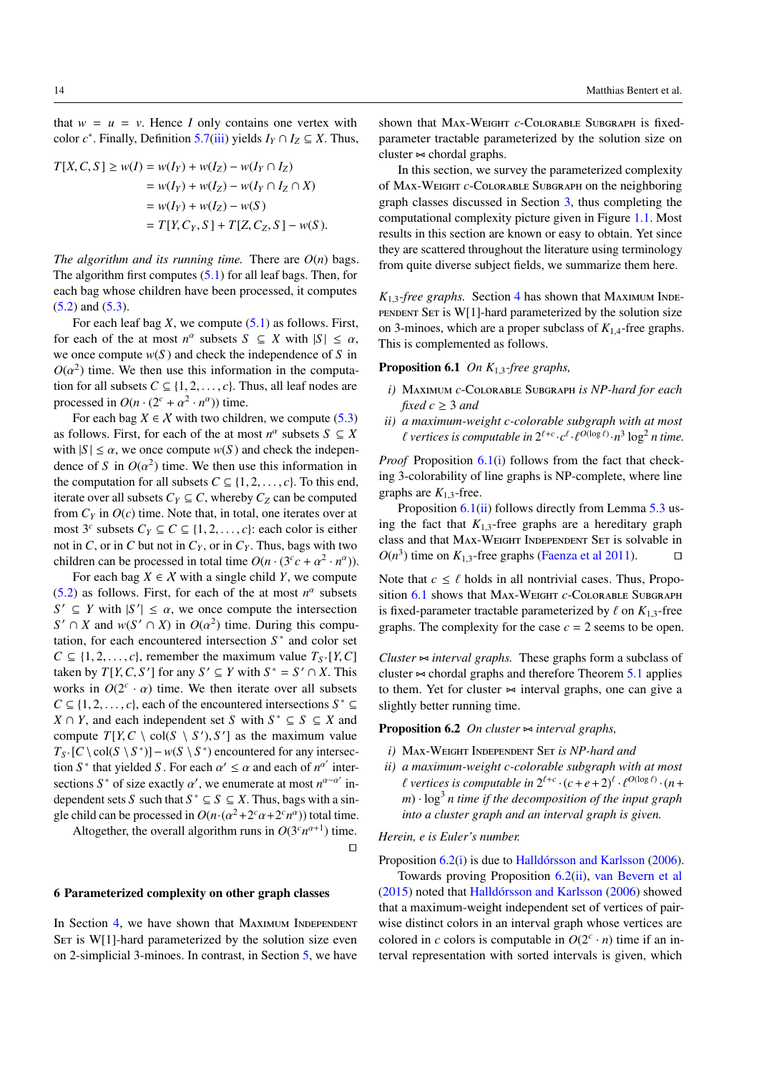<span id="page-13-7"></span>that  $w = u = v$ . Hence *I* only contains one vertex with color  $c^*$ . Finally, Definition [5.7\(](#page-11-3)[iii\)](#page-11-5) yields  $I_Y \cap I_Z \subseteq X$ . Thus,

$$
T[X, C, S] \ge w(I) = w(I_Y) + w(I_Z) - w(I_Y \cap I_Z)
$$
  
=  $w(I_Y) + w(I_Z) - w(I_Y \cap I_Z \cap X)$   
=  $w(I_Y) + w(I_Z) - w(S)$   
=  $T[Y, C_Y, S] + T[Z, C_Z, S] - w(S).$ 

*The algorithm and its running time.* There are  $O(n)$  bags. The algorithm first computes  $(5.1)$  for all leaf bags. Then, for each bag whose children have been processed, it computes [\(5.2\)](#page-12-0) and [\(5.3\)](#page-12-2).

For each leaf bag *X*, we compute [\(5.1\)](#page-12-1) as follows. First, for each of the at most  $n^{\alpha}$  subsets  $S \subseteq X$  with  $|S| \leq \alpha$ , we once compute *w*(*S* ) and check the independence of *S* in  $O(\alpha^2)$  time. We then use this information in the computation for all subsets  $C \subseteq \{1, 2, ..., c\}$ . Thus, all leaf nodes are processed in  $O(n \cdot (2^c + \alpha^2 \cdot n^{\alpha}))$  time.

For each bag  $X \in \mathcal{X}$  with two children, we compute [\(5.3\)](#page-12-2) as follows. First, for each of the at most  $n^{\alpha}$  subsets  $S \subseteq X$ with  $|S| \le \alpha$ , we once compute  $w(S)$  and check the independence of *S* in  $O(\alpha^2)$  time. We then use this information in the computation for all subsets  $C \subseteq \{1, 2, \ldots, c\}$ . To this end, iterate over all subsets  $C_Y \subseteq C$ , whereby  $C_Z$  can be computed from  $C_Y$  in  $O(c)$  time. Note that, in total, one iterates over at most  $3<sup>c</sup>$  subsets  $C_Y \subseteq C \subseteq \{1, 2, ..., c\}$ : each color is either not in *C*, or in *C* but not in  $C_Y$ , or in  $C_Y$ . Thus, bags with two children can be processed in total time  $O(n \cdot (3^c c + \alpha^2 \cdot n^{\alpha}))$ .

For each bag  $X \in \mathcal{X}$  with a single child *Y*, we compute  $(5.2)$  as follows. First, for each of the at most  $n^{\alpha}$  subsets  $S' \subseteq Y$  with  $|S'| \leq \alpha$ , we once compute the intersection  $S' \cap X$  and  $w(S' \cap X)$  in  $O(\alpha^2)$  time. During this computation, for each encountered intersection  $S^*$  and color set  $C \subseteq \{1, 2, \ldots, c\}$ , remember the maximum value  $T_{S^*}[Y, C]$ taken by  $T[Y, C, S']$  for any  $S' \subseteq Y$  with  $S^* = S' \cap X$ . This works in  $O(2^c \cdot \alpha)$  time. We then iterate over all subsets  $C \subseteq \{1, 2, \ldots, c\}$ , each of the encountered intersections  $S^* \subseteq$ *X* ∩ *Y*, and each independent set *S* with  $S^*$  ⊆ *S* ⊆ *X* and compute  $T[Y, C \setminus \text{col}(S \setminus S'), S']$  as the maximum value  $T_{S^*}[C \setminus \text{col}(S \setminus S^*)] - w(S \setminus S^*)$  encountered for any intersection *S*<sup>\*</sup> that yielded *S*. For each  $\alpha' \leq \alpha$  and each of  $n^{\alpha'}$  intersections S<sup>\*</sup> of size exactly  $\alpha'$ , we enumerate at most  $n^{\alpha-\alpha'}$  independent sets *S* such that  $S^* \subseteq S \subseteq X$ . Thus, bags with a single child can be processed in  $O(n \cdot (\alpha^2 + 2^c \alpha + 2^c n^{\alpha}))$  total time.

Altogether, the overall algorithm runs in  $O(3<sup>c</sup>n<sup>\alpha+1</sup>)$  time.

 $\Box$ 

#### <span id="page-13-2"></span>6 Parameterized complexity on other graph classes

In Section [4,](#page-7-1) we have shown that MAXIMUM INDEPENDENT SET is  $W[1]$ -hard parameterized by the solution size even on 2-simplicial 3-minoes. In contrast, in Section [5,](#page-9-1) we have

shown that Max-Weight *c*-Colorable Subgraph is fixedparameter tractable parameterized by the solution size on cluster  $\approx$  chordal graphs.

In this section, we survey the parameterized complexity of Max-Weight *c*-Colorable Subgraph on the neighboring graph classes discussed in Section [3,](#page-3-0) thus completing the computational complexity picture given in Figure [1.1.](#page-1-0) Most results in this section are known or easy to obtain. Yet since they are scattered throughout the literature using terminology from quite diverse subject fields, we summarize them here.

 $K_{1,3}$ -free graphs. Section [4](#page-7-1) has shown that MAXIMUM INDE-PENDENT SET is  $W[1]$ -hard parameterized by the solution size on 3-minoes, which are a proper subclass of  $K_{1,4}$ -free graphs. This is complemented as follows.

# <span id="page-13-1"></span>Proposition 6.1 *On K*1,3*-free graphs,*

- <span id="page-13-3"></span>*i)* Maximum *c*-Colorable Subgraph *is NP-hard for each fixed*  $c \geq 3$  *and*
- <span id="page-13-4"></span>*ii) a maximum-weight c-colorable subgraph with at most*  $\ell$  vertices is computable in  $2^{\ell+c} \cdot c^{\ell} \cdot \ell^{O(\log \ell)} \cdot n^3 \log^2 n$  time.

*Proof* Proposition [6.1](#page-13-1)[\(i\)](#page-13-3) follows from the fact that checking 3-colorability of line graphs is NP-complete, where line graphs are  $K_{1,3}$ -free.

Proposition [6.1\(](#page-13-1)[ii\)](#page-13-4) follows directly from Lemma [5.3](#page-10-2) using the fact that  $K_{1,3}$ -free graphs are a hereditary graph class and that MAX-WEIGHT INDEPENDENT SET is solvable in  $O(n^3)$  time on  $K_{1,3}$ -free graphs [\(Faenza et al](#page-15-23) [2011\)](#page-15-23).  $\square$ 

Note that  $c \leq \ell$  holds in all nontrivial cases. Thus, Propo-sition [6.1](#page-13-1) shows that MAX-WEIGHT *c*-COLORABLE SUBGRAPH is fixed-parameter tractable parameterized by  $\ell$  on  $K_1$ <sub>3</sub>-free graphs. The complexity for the case  $c = 2$  seems to be open.

*Cluster*  $\sim$  *interval graphs*. These graphs form a subclass of cluster  $\sim$  chordal graphs and therefore Theorem [5.1](#page-9-0) applies to them. Yet for cluster  $\sim$  interval graphs, one can give a slightly better running time.

<span id="page-13-0"></span>**Proposition 6.2** *On cluster*  $\Join$  *interval graphs,* 

- <span id="page-13-5"></span>*i)* Max-Weight Independent Set *is NP-hard and*
- <span id="page-13-6"></span>*ii) a maximum-weight c-colorable subgraph with at most*  $\ell$  vertices is computable in  $2^{\ell+c} \cdot (c+e+2)^{\ell} \cdot \ell^{O(\log \ell)} \cdot (n+e+2)^{\ell}$ *<sup>m</sup>*) · log<sup>3</sup> *n time if the decomposition of the input graph into a cluster graph and an interval graph is given.*

*Herein, e is Euler's number.*

Proposition [6.2](#page-13-0)[\(i\)](#page-13-5) is due to [Halldórsson and Karlsson](#page-15-4) [\(2006\)](#page-15-4).

Towards proving Proposition [6.2\(](#page-13-0)[ii\)](#page-13-6), [van Bevern et al](#page-15-6) [\(2015\)](#page-15-6) noted that [Halldórsson and Karlsson](#page-15-4) [\(2006\)](#page-15-4) showed that a maximum-weight independent set of vertices of pairwise distinct colors in an interval graph whose vertices are colored in *c* colors is computable in  $O(2^c \cdot n)$  time if an interval representation with sorted intervals is given, which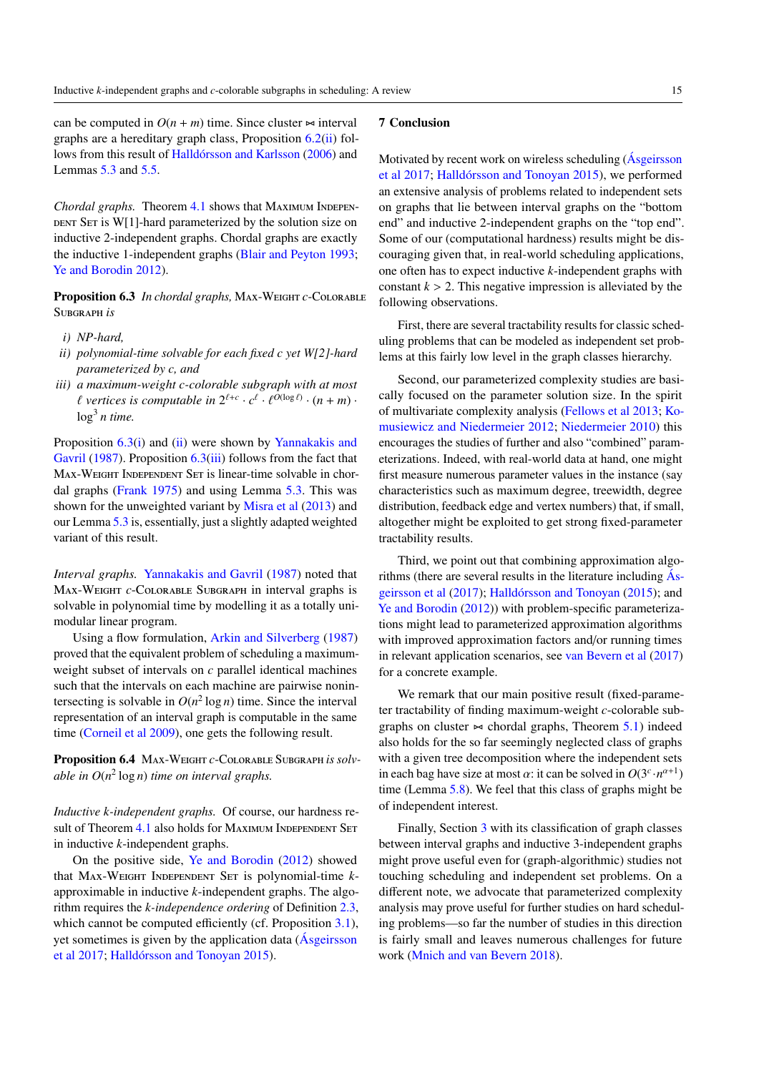<span id="page-14-5"></span>can be computed in  $O(n + m)$  time. Since cluster  $\sim$  interval graphs are a hereditary graph class, Proposition  $6.2$ [\(ii\)](#page-13-6) follows from this result of [Halldórsson and Karlsson](#page-15-4) [\(2006\)](#page-15-4) and Lemmas [5.3](#page-10-2) and [5.5.](#page-11-1)

*Chordal graphs.* Theorem [4.1](#page-7-0) shows that MAXIMUM INDEPEN-DENT SET is  $W[1]$ -hard parameterized by the solution size on inductive 2-independent graphs. Chordal graphs are exactly the inductive 1-independent graphs [\(Blair and Peyton](#page-15-19) [1993;](#page-15-19) [Ye and Borodin](#page-16-3) [2012\)](#page-16-3).

<span id="page-14-0"></span>Proposition 6.3 *In chordal graphs*, MAX-WEIGHT *c*-COLORABLE Subgraph *is*

- <span id="page-14-2"></span>*i) NP-hard,*
- <span id="page-14-3"></span>*ii) polynomial-time solvable for each fixed c yet W[2]-hard parameterized by c, and*
- <span id="page-14-4"></span>*iii) a maximum-weight c-colorable subgraph with at most*  $\ell$  vertices is computable in  $2^{\ell+c} \cdot c^{\ell} \cdot \ell^{O(\log \ell)} \cdot (n+m) \cdot$ log<sup>3</sup> *n time.*

Proposition  $6.3(i)$  $6.3(i)$  and  $(ii)$  were shown by [Yannakakis and](#page-16-14) [Gavril](#page-16-14) [\(1987\)](#page-16-14). Proposition [6.3](#page-14-0)[\(iii\)](#page-14-4) follows from the fact that MAX-WEIGHT INDEPENDENT SET is linear-time solvable in chordal graphs [\(Frank](#page-15-26) [1975\)](#page-15-26) and using Lemma [5.3.](#page-10-2) This was shown for the unweighted variant by [Misra et al](#page-16-4) [\(2013\)](#page-16-4) and our Lemma [5.3](#page-10-2) is, essentially, just a slightly adapted weighted variant of this result.

*Interval graphs.* [Yannakakis and Gavril](#page-16-14) [\(1987\)](#page-16-14) noted that Max-Weight *c*-Colorable Subgraph in interval graphs is solvable in polynomial time by modelling it as a totally unimodular linear program.

Using a flow formulation, [Arkin and Silverberg](#page-15-27) [\(1987\)](#page-15-27) proved that the equivalent problem of scheduling a maximumweight subset of intervals on *c* parallel identical machines such that the intervals on each machine are pairwise nonintersecting is solvable in  $O(n^2 \log n)$  time. Since the interval representation of an interval graph is computable in the same time [\(Corneil et al](#page-15-28) [2009\)](#page-15-28), one gets the following result.

<span id="page-14-1"></span>Proposition 6.4 MAX-WEIGHT *c*-COLORABLE SUBGRAPH *is solvable in O*(*n* 2 log *n*) *time on interval graphs.*

*Inductive k-independent graphs.* Of course, our hardness re-sult of Theorem [4.1](#page-7-0) also holds for MAXIMUM INDEPENDENT SET in inductive *k*-independent graphs.

On the positive side, [Ye and Borodin](#page-16-3) [\(2012\)](#page-16-3) showed that Max-Weight Independent Set is polynomial-time *k*approximable in inductive *k*-independent graphs. The algorithm requires the *k-independence ordering* of Definition [2.3,](#page-2-1) which cannot be computed efficiently (cf. Proposition [3.1\)](#page-5-2), yet sometimes is given by the application data [\(Ásgeirsson](#page-15-0) [et al](#page-15-0) [2017;](#page-15-0) [Halldórsson and Tonoyan](#page-15-2) [2015\)](#page-15-2).

## 7 Conclusion

Motivated by recent work on wireless scheduling [\(Ásgeirsson](#page-15-0) [et al](#page-15-0) [2017;](#page-15-0) [Halldórsson and Tonoyan](#page-15-2) [2015\)](#page-15-2), we performed an extensive analysis of problems related to independent sets on graphs that lie between interval graphs on the "bottom end" and inductive 2-independent graphs on the "top end". Some of our (computational hardness) results might be discouraging given that, in real-world scheduling applications, one often has to expect inductive *k*-independent graphs with constant  $k > 2$ . This negative impression is alleviated by the following observations.

First, there are several tractability results for classic scheduling problems that can be modeled as independent set problems at this fairly low level in the graph classes hierarchy.

Second, our parameterized complexity studies are basically focused on the parameter solution size. In the spirit of multivariate complexity analysis [\(Fellows et al](#page-15-29) [2013;](#page-15-29) [Ko](#page-16-15)[musiewicz and Niedermeier](#page-16-15) [2012;](#page-16-15) [Niedermeier](#page-16-16) [2010\)](#page-16-16) this encourages the studies of further and also "combined" parameterizations. Indeed, with real-world data at hand, one might first measure numerous parameter values in the instance (say characteristics such as maximum degree, treewidth, degree distribution, feedback edge and vertex numbers) that, if small, altogether might be exploited to get strong fixed-parameter tractability results.

Third, we point out that combining approximation algorithms (there are several results in the literature including  $\overrightarrow{As}$ [geirsson et al](#page-15-0) [\(2017\)](#page-15-0); [Halldórsson and Tonoyan](#page-15-2) [\(2015\)](#page-15-2); and [Ye and Borodin](#page-16-3) [\(2012\)](#page-16-3)) with problem-specific parameterizations might lead to parameterized approximation algorithms with improved approximation factors and/or running times in relevant application scenarios, see [van Bevern et al](#page-15-30) [\(2017\)](#page-15-30) for a concrete example.

We remark that our main positive result (fixed-parameter tractability of finding maximum-weight *c*-colorable subgraphs on cluster  $\approx$  chordal graphs, Theorem [5.1\)](#page-9-0) indeed also holds for the so far seemingly neglected class of graphs with a given tree decomposition where the independent sets in each bag have size at most  $\alpha$ : it can be solved in  $O(3^c \cdot n^{\alpha+1})$ time (Lemma [5.8\)](#page-11-7). We feel that this class of graphs might be of independent interest.

Finally, Section [3](#page-3-0) with its classification of graph classes between interval graphs and inductive 3-independent graphs might prove useful even for (graph-algorithmic) studies not touching scheduling and independent set problems. On a different note, we advocate that parameterized complexity analysis may prove useful for further studies on hard scheduling problems—so far the number of studies in this direction is fairly small and leaves numerous challenges for future work [\(Mnich and van Bevern](#page-16-17) [2018\)](#page-16-17).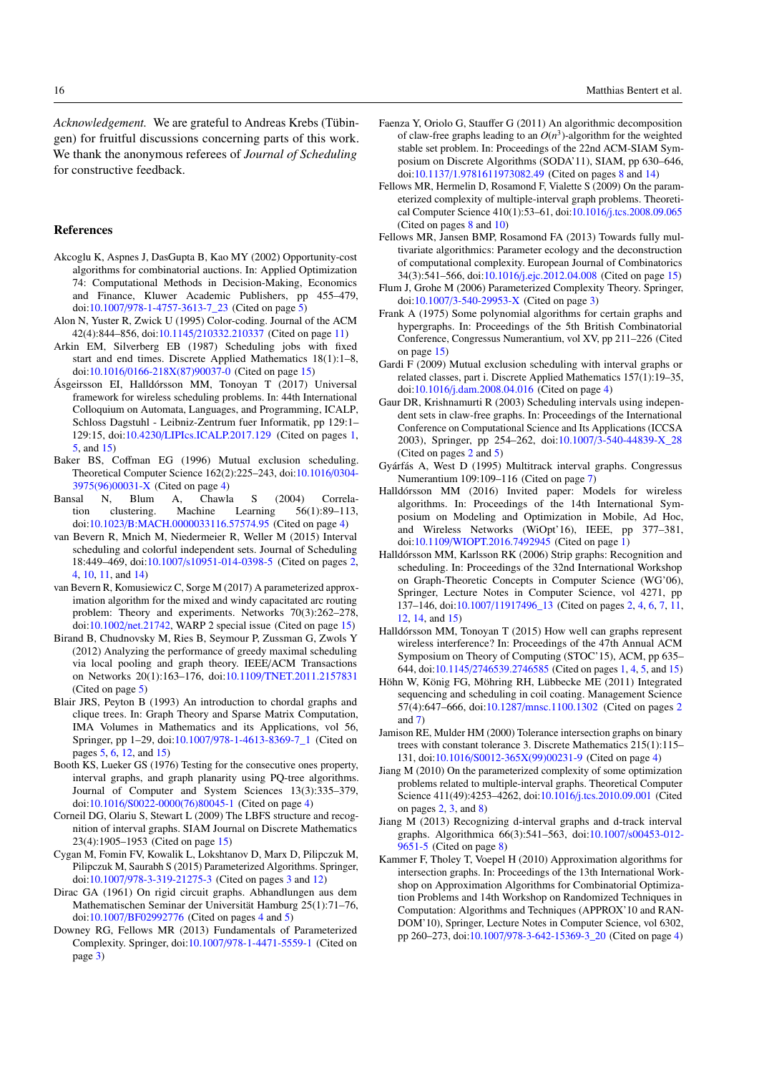*Acknowledgement.* We are grateful to Andreas Krebs (Tübingen) for fruitful discussions concerning parts of this work. We thank the anonymous referees of *Journal of Scheduling* for constructive feedback.

## References

- <span id="page-15-18"></span>Akcoglu K, Aspnes J, DasGupta B, Kao MY (2002) Opportunity-cost algorithms for combinatorial auctions. In: Applied Optimization 74: Computational Methods in Decision-Making, Economics and Finance, Kluwer Academic Publishers, pp 455–479, doi:10.1007/[978-1-4757-3613-7\\_23](http://dx.doi.org/10.1007/978-1-4757-3613-7_23) (Cited on page [5\)](#page-4-1)
- <span id="page-15-25"></span>Alon N, Yuster R, Zwick U (1995) Color-coding. Journal of the ACM 42(4):844–856, doi:10.1145/[210332.210337](http://dx.doi.org/10.1145/210332.210337) (Cited on page [11\)](#page-10-3)
- <span id="page-15-27"></span>Arkin EM, Silverberg EB (1987) Scheduling jobs with fixed start and end times. Discrete Applied Mathematics 18(1):1–8, doi:10.1016/[0166-218X\(87\)90037-0](http://dx.doi.org/10.1016/0166-218X(87)90037-0) (Cited on page [15\)](#page-14-5)
- <span id="page-15-0"></span>Ásgeirsson EI, Halldórsson MM, Tonoyan T (2017) Universal framework for wireless scheduling problems. In: 44th International Colloquium on Automata, Languages, and Programming, ICALP, Schloss Dagstuhl - Leibniz-Zentrum fuer Informatik, pp 129:1– 129:15, doi:10.4230/[LIPIcs.ICALP.2017.129](http://dx.doi.org/10.4230/LIPIcs.ICALP.2017.129) (Cited on pages [1,](#page-0-1) [5,](#page-4-1) and [15\)](#page-14-5)
- <span id="page-15-13"></span>Baker BS, Coffman EG (1996) Mutual exclusion scheduling. Theoretical Computer Science 162(2):225–243, doi[:10.1016](http://dx.doi.org/10.1016/0304-3975(96)00031-X)/0304- [3975\(96\)00031-X](http://dx.doi.org/10.1016/0304-3975(96)00031-X) (Cited on page [4\)](#page-3-5)
- <span id="page-15-17"></span>Bansal N, Blum A, Chawla S (2004) Correlation clustering. Machine Learning 56(1):89–113, doi:10.1023/[B:MACH.0000033116.57574.95](http://dx.doi.org/10.1023/B:MACH.0000033116.57574.95) (Cited on page [4\)](#page-3-5)
- <span id="page-15-6"></span>van Bevern R, Mnich M, Niedermeier R, Weller M (2015) Interval scheduling and colorful independent sets. Journal of Scheduling 18:449–469, doi:10.1007/[s10951-014-0398-5](http://dx.doi.org/10.1007/s10951-014-0398-5) (Cited on pages [2,](#page-1-1) [4,](#page-3-5) [10,](#page-9-7) [11,](#page-10-3) and [14\)](#page-13-7)
- <span id="page-15-30"></span>van Bevern R, Komusiewicz C, Sorge M (2017) A parameterized approximation algorithm for the mixed and windy capacitated arc routing problem: Theory and experiments. Networks 70(3):262–278, doi:10.1002/[net.21742,](http://dx.doi.org/10.1002/net.21742) WARP 2 special issue (Cited on page [15\)](#page-14-5)
- <span id="page-15-20"></span>Birand B, Chudnovsky M, Ries B, Seymour P, Zussman G, Zwols Y (2012) Analyzing the performance of greedy maximal scheduling via local pooling and graph theory. IEEE/ACM Transactions on Networks 20(1):163–176, doi:10.1109/[TNET.2011.2157831](http://dx.doi.org/10.1109/TNET.2011.2157831) (Cited on page [5\)](#page-4-1)
- <span id="page-15-19"></span>Blair JRS, Peyton B (1993) An introduction to chordal graphs and clique trees. In: Graph Theory and Sparse Matrix Computation, IMA Volumes in Mathematics and its Applications, vol 56, Springer, pp 1–29, doi:10.1007/[978-1-4613-8369-7\\_1](http://dx.doi.org/10.1007/978-1-4613-8369-7_1) (Cited on pages [5,](#page-4-1) [6,](#page-5-3) [12,](#page-11-8) and [15\)](#page-14-5)
- <span id="page-15-15"></span>Booth KS, Lueker GS (1976) Testing for the consecutive ones property, interval graphs, and graph planarity using PQ-tree algorithms. Journal of Computer and System Sciences 13(3):335–379, doi:10.1016/[S0022-0000\(76\)80045-1](http://dx.doi.org/10.1016/S0022-0000(76)80045-1) (Cited on page [4\)](#page-3-5)
- <span id="page-15-28"></span>Corneil DG, Olariu S, Stewart L (2009) The LBFS structure and recognition of interval graphs. SIAM Journal on Discrete Mathematics 23(4):1905–1953 (Cited on page [15\)](#page-14-5)
- <span id="page-15-8"></span>Cygan M, Fomin FV, Kowalik L, Lokshtanov D, Marx D, Pilipczuk M, Pilipczuk M, Saurabh S (2015) Parameterized Algorithms. Springer, doi:10.1007/[978-3-319-21275-3](http://dx.doi.org/10.1007/978-3-319-21275-3) (Cited on pages [3](#page-2-2) and [12\)](#page-11-8)
- <span id="page-15-16"></span>Dirac GA (1961) On rigid circuit graphs. Abhandlungen aus dem Mathematischen Seminar der Universität Hamburg 25(1):71–76, doi:10.1007/[BF02992776](http://dx.doi.org/10.1007/BF02992776) (Cited on pages [4](#page-3-5) and [5\)](#page-4-1)
- <span id="page-15-9"></span>Downey RG, Fellows MR (2013) Fundamentals of Parameterized Complexity. Springer, doi:10.1007/[978-1-4471-5559-1](http://dx.doi.org/10.1007/978-1-4471-5559-1) (Cited on page [3\)](#page-2-2)
- <span id="page-15-23"></span>Faenza Y, Oriolo G, Stauffer G (2011) An algorithmic decomposition of claw-free graphs leading to an  $O(n^3)$ -algorithm for the weighted stable set problem. In: Proceedings of the 22nd ACM-SIAM Symposium on Discrete Algorithms (SODA'11), SIAM, pp 630–646, doi:10.1137/[1.9781611973082.49](http://dx.doi.org/10.1137/1.9781611973082.49) (Cited on pages [8](#page-7-4) and [14\)](#page-13-7)
- <span id="page-15-24"></span>Fellows MR, Hermelin D, Rosamond F, Vialette S (2009) On the parameterized complexity of multiple-interval graph problems. Theoretical Computer Science 410(1):53–61, doi:10.1016/[j.tcs.2008.09.065](http://dx.doi.org/10.1016/j.tcs.2008.09.065) (Cited on pages [8](#page-7-4) and [10\)](#page-9-7)
- <span id="page-15-29"></span>Fellows MR, Jansen BMP, Rosamond FA (2013) Towards fully multivariate algorithmics: Parameter ecology and the deconstruction of computational complexity. European Journal of Combinatorics 34(3):541–566, doi:10.1016/[j.ejc.2012.04.008](http://dx.doi.org/10.1016/j.ejc.2012.04.008) (Cited on page [15\)](#page-14-5)
- <span id="page-15-10"></span>Flum J, Grohe M (2006) Parameterized Complexity Theory. Springer, doi:10.1007/[3-540-29953-X](http://dx.doi.org/10.1007/3-540-29953-X) (Cited on page [3\)](#page-2-2)
- <span id="page-15-26"></span>Frank A (1975) Some polynomial algorithms for certain graphs and hypergraphs. In: Proceedings of the 5th British Combinatorial Conference, Congressus Numerantium, vol XV, pp 211–226 (Cited on page [15\)](#page-14-5)
- <span id="page-15-14"></span>Gardi F (2009) Mutual exclusion scheduling with interval graphs or related classes, part i. Discrete Applied Mathematics 157(1):19–35, doi:10.1016/[j.dam.2008.04.016](http://dx.doi.org/10.1016/j.dam.2008.04.016) (Cited on page [4\)](#page-3-5)
- <span id="page-15-7"></span>Gaur DR, Krishnamurti R (2003) Scheduling intervals using independent sets in claw-free graphs. In: Proceedings of the International Conference on Computational Science and Its Applications (ICCSA 2003), Springer, pp 254–262, doi:10.1007/[3-540-44839-X\\_28](http://dx.doi.org/10.1007/3-540-44839-X_28) (Cited on pages [2](#page-1-1) and [5\)](#page-4-1)
- <span id="page-15-21"></span>Gyárfás A, West D (1995) Multitrack interval graphs. Congressus Numerantium 109:109–116 (Cited on page [7\)](#page-6-2)
- <span id="page-15-1"></span>Halldórsson MM (2016) Invited paper: Models for wireless algorithms. In: Proceedings of the 14th International Symposium on Modeling and Optimization in Mobile, Ad Hoc, and Wireless Networks (WiOpt'16), IEEE, pp 377–381, doi:10.1109/[WIOPT.2016.7492945](http://dx.doi.org/10.1109/WIOPT.2016.7492945) (Cited on page [1\)](#page-0-1)
- <span id="page-15-4"></span>Halldórsson MM, Karlsson RK (2006) Strip graphs: Recognition and scheduling. In: Proceedings of the 32nd International Workshop on Graph-Theoretic Concepts in Computer Science (WG'06), Springer, Lecture Notes in Computer Science, vol 4271, pp 137–146, doi:10.1007/[11917496\\_13](http://dx.doi.org/10.1007/11917496_13) (Cited on pages [2,](#page-1-1) [4,](#page-3-5) [6,](#page-5-3) [7,](#page-6-2) [11,](#page-10-3) [12,](#page-11-8) [14,](#page-13-7) and [15\)](#page-14-5)
- <span id="page-15-2"></span>Halldórsson MM, Tonoyan T (2015) How well can graphs represent wireless interference? In: Proceedings of the 47th Annual ACM Symposium on Theory of Computing (STOC'15), ACM, pp 635– 644, doi:10.1145/[2746539.2746585](http://dx.doi.org/10.1145/2746539.2746585) (Cited on pages [1,](#page-0-1) [4,](#page-3-5) [5,](#page-4-1) and [15\)](#page-14-5)
- <span id="page-15-5"></span>Höhn W, König FG, Möhring RH, Lübbecke ME (2011) Integrated sequencing and scheduling in coil coating. Management Science 57(4):647–666, doi:10.1287/[mnsc.1100.1302](http://dx.doi.org/10.1287/mnsc.1100.1302) (Cited on pages [2](#page-1-1) and [7\)](#page-6-2)
- <span id="page-15-11"></span>Jamison RE, Mulder HM (2000) Tolerance intersection graphs on binary trees with constant tolerance 3. Discrete Mathematics 215(1):115– 131, doi:10.1016/[S0012-365X\(99\)00231-9](http://dx.doi.org/10.1016/S0012-365X(99)00231-9) (Cited on page [4\)](#page-3-5)
- <span id="page-15-3"></span>Jiang M (2010) On the parameterized complexity of some optimization problems related to multiple-interval graphs. Theoretical Computer Science 411(49):4253–4262, doi:10.1016/[j.tcs.2010.09.001](http://dx.doi.org/10.1016/j.tcs.2010.09.001) (Cited on pages [2,](#page-1-1) [3,](#page-2-2) and [8\)](#page-7-4)
- <span id="page-15-22"></span>Jiang M (2013) Recognizing d-interval graphs and d-track interval graphs. Algorithmica 66(3):541–563, doi:10.1007/[s00453-012-](http://dx.doi.org/10.1007/s00453-012-9651-5) [9651-5](http://dx.doi.org/10.1007/s00453-012-9651-5) (Cited on page [8\)](#page-7-4)
- <span id="page-15-12"></span>Kammer F, Tholey T, Voepel H (2010) Approximation algorithms for intersection graphs. In: Proceedings of the 13th International Workshop on Approximation Algorithms for Combinatorial Optimization Problems and 14th Workshop on Randomized Techniques in Computation: Algorithms and Techniques (APPROX'10 and RAN-DOM'10), Springer, Lecture Notes in Computer Science, vol 6302, pp 260–273, doi:10.1007/[978-3-642-15369-3\\_20](http://dx.doi.org/10.1007/978-3-642-15369-3_20) (Cited on page [4\)](#page-3-5)